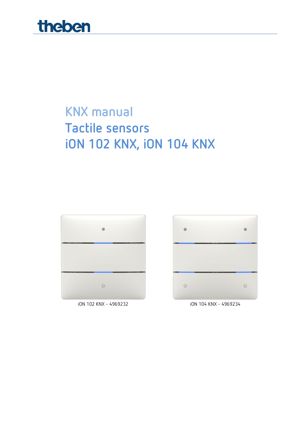

## **KNX manual Tactile sensors iON 102 KNX, iON 104 KNX**





iON 102 KNX - 4969232 iON 104 KNX - 4969234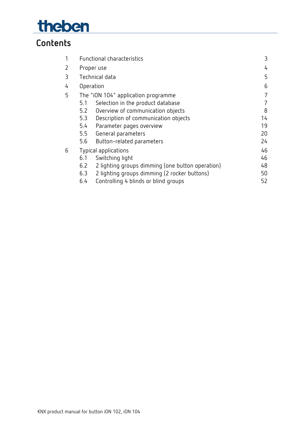# theben

## **Contents**

| 1 |           | Functional characteristics                       | 3  |
|---|-----------|--------------------------------------------------|----|
| 2 |           | Proper use                                       | 4  |
| 3 |           | Technical data                                   | 5  |
| 4 | Operation |                                                  | 6  |
| 5 |           | The "iON 104" application programme              | 7  |
|   | 5.1       | Selection in the product database                | 7  |
|   | 5.2       | Overview of communication objects                | 8  |
|   | 5.3       | Description of communication objects             | 14 |
|   | 5.4       | Parameter pages overview                         | 19 |
|   | 5.5       | General parameters                               | 20 |
|   | 5.6       | Button-related parameters                        | 24 |
| 6 |           | Typical applications                             | 46 |
|   | 6.1       | Switching light                                  | 46 |
|   | 6.2       | 2 lighting groups dimming (one button operation) | 48 |
|   | 6.3       | 2 lighting groups dimming (2 rocker buttons)     | 50 |
|   | 6.4       | Controlling 4 blinds or blind groups             | 52 |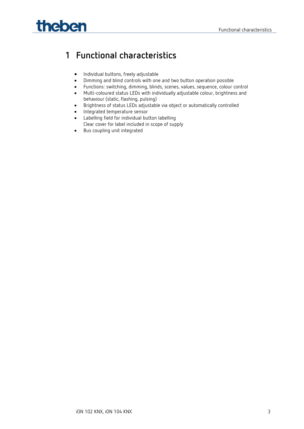# **Theben** Functional characteristics

## <span id="page-2-0"></span>**1 Functional characteristics**

- Individual buttons, freely adjustable
- Dimming and blind controls with one and two button operation possible
- Functions: switching, dimming, blinds, scenes, values, sequence, colour control
- Multi-coloured status LEDs with individually adjustable colour, brightness and behaviour (static, flashing, pulsing)
- Brightness of status LEDs adjustable via object or automatically controlled
- Integrated temperature sensor
- Labelling field for individual button labelling
	- Clear cover for label included in scope of supply
- Bus coupling unit integrated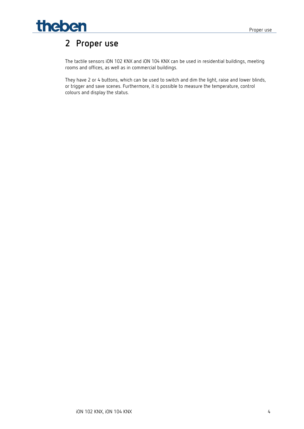

## <span id="page-3-0"></span>**2 Proper use**

The tactile sensors iON 102 KNX and iON 104 KNX can be used in residential buildings, meeting rooms and offices, as well as in commercial buildings.

They have 2 or 4 buttons, which can be used to switch and dim the light, raise and lower blinds, or trigger and save scenes. Furthermore, it is possible to measure the temperature, control colours and display the status.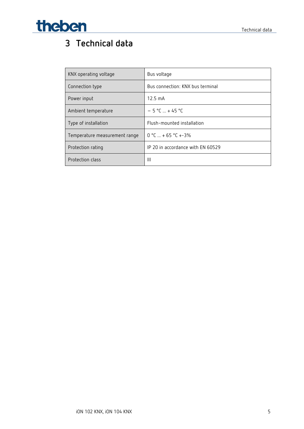# **Theben Technical data**

## <span id="page-4-0"></span>**3 Technical data**

| KNX operating voltage         | Bus voltage                       |
|-------------------------------|-----------------------------------|
| Connection type               | Bus connection: KNX bus terminal  |
| Power input                   | $12.5 \text{ mA}$                 |
| Ambient temperature           | $-5 °C  + 45 °C$                  |
| Type of installation          | Flush-mounted installation        |
| Temperature measurement range | $0 °C  + 65 °C + -3%$             |
| Protection rating             | IP 20 in accordance with EN 60529 |
| Protection class              | Ш                                 |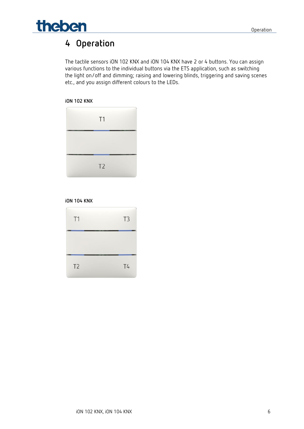

## <span id="page-5-0"></span>**4 Operation**

The tactile sensors iON 102 KNX and iON 104 KNX have 2 or 4 buttons. You can assign various functions to the individual buttons via the ETS application, such as switching the light on/off and dimming; raising and lowering blinds, triggering and saving scenes etc., and you assign different colours to the LEDs.

#### **iON 102 KNX**

| T1             |  |
|----------------|--|
|                |  |
| T <sub>2</sub> |  |

#### **iON 104 KNX**

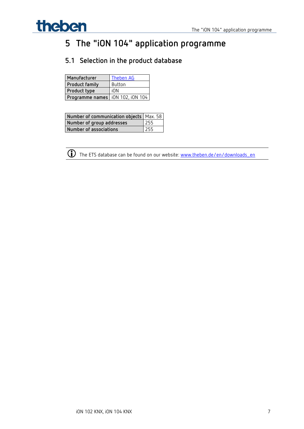

## <span id="page-6-0"></span>**5 The "iON 104" application programme**

## <span id="page-6-1"></span>**5.1 Selection in the product database**

| Manufacturer                       | Theben AG |
|------------------------------------|-----------|
| <b>Product family</b>              | Button    |
| Product type                       | iON       |
| Programme names   iON 102, iON 104 |           |

| Number of communication objects   Max. 58 |     |
|-------------------------------------------|-----|
| Number of group addresses                 | 255 |
| Number of associations                    | 255 |



The ETS database can be found on our website: [www.theben.de/en/downloads\\_en](http://www.theben.de/en/downloads_en)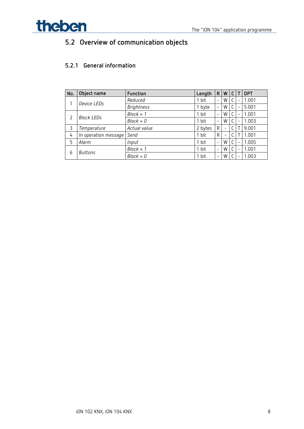

## <span id="page-7-0"></span>**5.2 Overview of communication objects**

### **5.2.1 General information**

| No. | Object name          | Function          | Length  | R                        | W                        |   | <b>DPT</b> |
|-----|----------------------|-------------------|---------|--------------------------|--------------------------|---|------------|
|     | Device LEDs          | Reduced           | 1 bit   | $\overline{\phantom{m}}$ | W                        |   | 1.001      |
|     |                      | <b>Brightness</b> | 1 byte  | $\overline{\phantom{m}}$ | W                        | - | 5.001      |
|     |                      | $Block = 1$       | 1 bit   | $\overline{\phantom{m}}$ | W                        |   | 1.001      |
| 2   | <b>Block LEDs</b>    | $Block = 0$       | 1 bit   | $\overline{\phantom{m}}$ | W                        | - | 1.003      |
| 3   | Temperature          | Actual value      | 2 bytes | $\mathsf{R}$             | $\overline{\phantom{a}}$ |   | 9.001      |
| 4   | In operation message | Send              | 1 bit   | R                        |                          |   | 1.001      |
| 5   | Alarm                | Input             | 1 bit   | $\overline{\phantom{a}}$ | W                        | - | 1.005      |
| 6   |                      | $Block = 1$       | 1 bit   | $\overline{\phantom{a}}$ | W                        | - | 1.001      |
|     | Buttons              | $Block = 0$       | 1 bit   | $\overline{\phantom{a}}$ | W                        |   | 1.003      |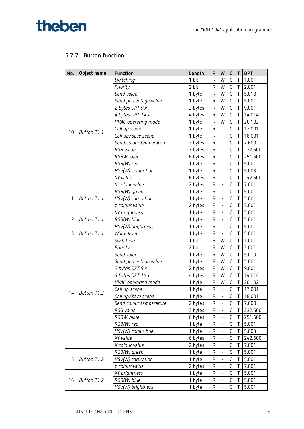

## **5.2.2 Button function**

| No. | Object name        | Function                | Length  | R           | W                        | С            | Τ              | <b>DPT</b> |
|-----|--------------------|-------------------------|---------|-------------|--------------------------|--------------|----------------|------------|
|     |                    | Switching               | 1 bit   | $\mathsf R$ | W                        | C            | Τ              | 1.001      |
|     |                    | Priority                | 2 bit   | $\mathsf R$ | W                        | $\mathsf C$  | T              | 2.001      |
|     |                    | Send value              | 1 byte  | ${\sf R}$   | W                        | $\mathsf C$  | T              | 5.010      |
|     |                    | Send percentage value   | 1 byte  | R           | W                        | C            | Τ              | 5.001      |
|     |                    | 2 bytes DPT 9.x         | 2 bytes | ${\sf R}$   | W                        | $\mathsf C$  | T              | 9.001      |
|     |                    | 4 bytes DPT 14.x        | 4 bytes | ${\sf R}$   | W                        | $\mathsf C$  | $\overline{1}$ | 14.014     |
|     |                    | HVAC operating mode     | 1 byte  | R           | W                        | $\mathsf C$  | T              | 20.102     |
|     |                    | Call up scene           | 1 byte  | ${\sf R}$   | $\blacksquare$           | $\mathsf{C}$ | T              | 17.001     |
| 10  | Button T1.1        | Call up/save scene      | 1 byte  | $\mathsf R$ | $\blacksquare$           | $\mathsf C$  | $\top$         | 18.001     |
|     |                    | Send colour temperature | 2 bytes | ${\sf R}$   | $\blacksquare$           | $\mathsf C$  | Τ              | 7.600      |
|     |                    | <i>RGB</i> value        | 3 bytes | R           | $\overline{\phantom{0}}$ | $\mathsf C$  | T              | 232.600    |
|     |                    | <b>RGBW</b> value       | 6 bytes | R           | $\blacksquare$           | $\mathsf C$  | T              | 251.600    |
|     |                    | RGB(W) red              | 1 byte  | R           | $\blacksquare$           | $\mathsf C$  | $\bar{1}$      | 5.001      |
|     |                    | HSV(W) colour hue       | 1 byte  | R           | $\overline{\phantom{a}}$ | $\mathsf C$  | T              | 5.003      |
|     |                    | XY value                | 6 bytes | R           | $\blacksquare$           | $\mathsf{C}$ | Τ              | 242.600    |
|     |                    | X colour value          | 2 bytes | R           | $\overline{\phantom{a}}$ | $\mathsf C$  | $\top$         | 7.001      |
|     |                    | RGB(W) green            | 1 byte  | ${\sf R}$   | $\blacksquare$           | $\mathsf C$  | $\top$         | 5.001      |
| 11  | Button T1.1        | HSV(W) saturation       | 1 byte  | R           | $\overline{\phantom{0}}$ | $\mathsf C$  | $\top$         | 5.001      |
|     |                    | Y colour value          | 2 bytes | R           | $\blacksquare$           | $\mathsf C$  | Τ              | 7.001      |
|     |                    | XY brightness           | 1 byte  | R           | $\overline{\phantom{a}}$ | $\mathsf{C}$ | $\bar{1}$      | 5.001      |
| 12  | Button T1.1        | RGB(W) blue             | 1 byte  | R           | $\blacksquare$           | $\mathsf C$  | T              | 5.001      |
|     |                    | HSV(W) brightness       | 1 byte  | R           | $\blacksquare$           | $\mathsf C$  | T              | 5.001      |
| 13  | Button T1.1        | White level             | 1 byte  | R           | $\blacksquare$           | $\mathsf C$  | $\top$         | 5.001      |
|     |                    | Switching               | 1 bit   | $\mathsf R$ | W                        | $\mathsf{C}$ | $\top$         | 1.001      |
|     |                    | Priority                | 2 bit   | R           | W                        | C            | T              | 2.001      |
|     |                    | Send value              | 1 byte  | ${\sf R}$   | W                        | $\mathsf{C}$ | T              | 5.010      |
|     |                    | Send percentage value   | 1 byte  | ${\sf R}$   | W                        | $\mathsf{C}$ | $\bar{1}$      | 5.001      |
|     |                    | 2 bytes DPT 9.x         | 2 bytes | R           | W                        | $\mathsf C$  | T              | 9.001      |
|     |                    | 4 bytes DPT 14.x        | 4 bytes | ${\sf R}$   | W                        | $\mathsf C$  | Τ              | 14.014     |
|     |                    | HVAC operating mode     | 1 byte  | ${\sf R}$   | W                        | $\mathsf C$  | $\top$         | 20.102     |
|     |                    | Call up scene           | 1 byte  | ${\sf R}$   | $\blacksquare$           | $\mathsf C$  | $\top$         | 17.001     |
| 14  | Button T1.2        | Call up/save scene      | 1 byte  | R           | $\overline{\phantom{a}}$ | $\mathsf C$  | $\mathsf{T}$   | 18.001     |
|     |                    | Send colour temperature | 2 bytes | R           | $\blacksquare$           | С            | Τ              | 7.600      |
|     |                    | RGB value               | 3 bytes | R           | $\frac{1}{2}$            | $\mathsf C$  | T              | 232.600    |
|     |                    | RGBW value              | 6 bytes | R           | $\blacksquare$           | $\mathsf C$  | Τ              | 251.600    |
|     |                    | RGB(W) red              | 1 byte  | R           | $\overline{\phantom{a}}$ | C            | Τ              | 5.001      |
|     |                    | HSV(W) colour hue       | 1 byte  | R           | $\bar{\mathcal{L}}$      | $\mathsf C$  | Τ              | 5.003      |
|     |                    | XY value                | 6 bytes | R           | $\frac{1}{2}$            | $\mathsf C$  | $\top$         | 242.600    |
|     |                    | X colour value          | 2 bytes | R           | $\overline{\phantom{a}}$ | C            | Τ              | 7.001      |
|     |                    | RGB(W) green            | 1 byte  | R           | $\blacksquare$           | $\mathsf C$  | Τ              | 5.001      |
| 15  | <b>Button T1.2</b> | HSV(W) saturation       | 1 byte  | R           | $\frac{1}{2}$            | $\mathsf C$  | T              | 5.001      |
|     |                    | Y colour value          | 2 bytes | R           | $\blacksquare$           | $\mathsf C$  | Τ              | 7.001      |
|     |                    | XY brightness           | 1 byte  | R           | $\overline{\phantom{a}}$ | С            | Τ              | 5.001      |
| 16  | <b>Button T1.2</b> | RGB(W) blue             | 1 byte  | R           | $\blacksquare$           | C            | Τ              | 5.001      |
|     |                    | HSV(W) brightness       | 1 byte  | R           |                          | C            | Τ              | 5.001      |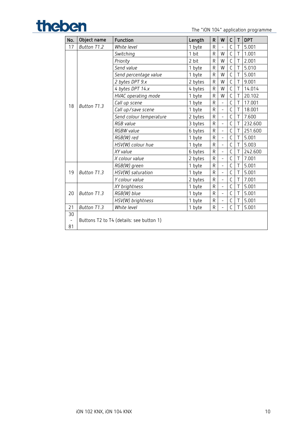## The "iON 104" application programme

| No.                      | Object name | Function                                 | Length  | $\mathsf{R}$ | W                        | $\mathsf{C}$ | $\mathsf{T}$   | <b>DPT</b> |
|--------------------------|-------------|------------------------------------------|---------|--------------|--------------------------|--------------|----------------|------------|
| 17                       | Button T1.2 | White level                              | 1 byte  | $\mathsf{R}$ | $\overline{\phantom{0}}$ | C            | $\top$         | 5.001      |
|                          |             | Switching                                | 1 bit   | $\mathsf{R}$ | W                        | C            | Τ              | 1.001      |
|                          |             | Priority                                 | 2 bit   | $\mathsf{R}$ | W                        | C            | $\mathsf{T}$   | 2.001      |
|                          |             | Send value                               | 1 byte  | R            | W                        | C            | T              | 5.010      |
|                          |             | Send percentage value                    | 1 byte  | R            | W                        | C            | Τ              | 5.001      |
|                          |             | 2 bytes DPT 9.x                          | 2 bytes | $\mathsf R$  | W                        | C            | T              | 9.001      |
|                          |             | 4 bytes DPT 14.x                         | 4 bytes | $\mathsf R$  | W                        | $\mathsf C$  | $\top$         | 14.014     |
|                          |             | HVAC operating mode                      | 1 byte  | $\mathsf{R}$ | W                        | C            | $\mathsf T$    | 20.102     |
| 18                       | Button T1.3 | Call up scene                            | 1 byte  | R            |                          | C            | T              | 17.001     |
|                          |             | Call up/save scene                       | 1 byte  | R            | $\overline{a}$           | $\mathsf{C}$ | $\mathsf{T}$   | 18.001     |
|                          |             | Send colour temperature                  | 2 bytes | $\mathsf R$  | $\overline{a}$           | C            | $\mathsf T$    | 7.600      |
|                          |             | RGB value                                | 3 bytes | $\mathsf{R}$ | $\overline{\phantom{0}}$ | C            | $\top$         | 232.600    |
|                          |             | RGBW value                               | 6 bytes | $\mathsf{R}$ | $\overline{a}$           | C            | T              | 251.600    |
|                          |             | RGB(W) red                               | 1 byte  | R            | $\overline{\phantom{0}}$ | C            | $\top$         | 5.001      |
|                          |             | HSV(W) colour hue                        | 1 byte  | $\mathsf R$  | $\overline{a}$           | C            | T              | 5.003      |
|                          |             | XY value                                 | 6 bytes | R            | $\overline{a}$           | C            | T              | 242.600    |
|                          |             | X colour value                           | 2 bytes | $\mathsf R$  | $\overline{a}$           | C            | T              | 7.001      |
|                          |             | RGB(W) green                             | 1 byte  | $\mathsf R$  | $\overline{a}$           | C            | $\overline{1}$ | 5.001      |
| 19                       | Button T1.3 | HSV(W) saturation                        | 1 byte  | R            | $\overline{a}$           | C            | $\mathsf T$    | 5.001      |
|                          |             | Y colour value                           | 2 bytes | R            | $\overline{a}$           | C            | T              | 7.001      |
|                          |             | XY brightness                            | 1 byte  | $\mathsf{R}$ | -                        | C            | T              | 5.001      |
| 20                       | Button T1.3 | RGB(W) blue                              | 1 byte  | $\mathsf{R}$ | $\overline{a}$           | $\mathsf{C}$ | $\mathsf{T}$   | 5.001      |
|                          |             | HSV(W) brightness                        | 1 byte  | R            | $\overline{\phantom{0}}$ | С            | T              | 5.001      |
| 21                       | Button T1.3 | White level                              | 1 byte  | R            | $\overline{a}$           | C            | T              | 5.001      |
| 30                       |             |                                          |         |              |                          |              |                |            |
| $\overline{\phantom{a}}$ |             | Buttons T2 to T4 (details: see button 1) |         |              |                          |              |                |            |
| 81                       |             |                                          |         |              |                          |              |                |            |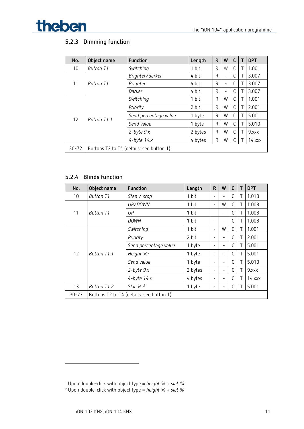

## **5.2.3 Dimming function**

| No.       | Object name      | Function                                 | Length  | R | W                        | C |   | <b>DPT</b>  |
|-----------|------------------|------------------------------------------|---------|---|--------------------------|---|---|-------------|
| 10        | <b>Button T1</b> | Switching                                | 1 bit   | R | W                        | C |   | 1.001       |
|           |                  | Brighter/darker                          | 4 bit   | R | $\overline{\phantom{0}}$ | C |   | 3.007       |
| 11        | <b>Button T1</b> | <b>Brighter</b>                          | 4 bit   | R | $\overline{\phantom{0}}$ | С |   | 3.007       |
|           |                  | Darker                                   | 4 bit   | R | $\overline{\phantom{0}}$ | C |   | 3.007       |
|           |                  | Switching                                | 1 bit   | R | W                        | С |   | 1.001       |
|           |                  | Priority                                 | 2 bit   | R | W                        | C | Τ | 2.001       |
| 12        | Button T1.1      | Send percentage value                    | 1 byte  | R | W                        | C | Т | 5.001       |
|           |                  | Send value                               | 1 byte  | R | W                        | C | Τ | 5.010       |
|           |                  | $2$ -byte $9.x$                          | 2 bytes | R | W                        | C |   | 9.xxx       |
|           |                  | $4$ -byte $14.x$                         | 4 bytes | R | W                        | С |   | $14.$ $xxx$ |
| $30 - 72$ |                  | Buttons T2 to T4 (details: see button 1) |         |   |                          |   |   |             |

#### **5.2.4 Blinds function**

| No.   | Object name | Function                                 | Length  | $\mathsf R$              | W                        | C            | <b>DPT</b>  |
|-------|-------------|------------------------------------------|---------|--------------------------|--------------------------|--------------|-------------|
| 10    | Button T1   | Step / stop                              | 1 bit   |                          |                          | C            | 1.010       |
|       |             | UP/DOWN                                  | 1 bit   | $\overline{\phantom{0}}$ | W                        | C            | 1.008       |
| 11    | Button T1   | UP                                       | 1 bit   |                          | -                        | C            | 1.008       |
|       |             | DOWN                                     | 1 bit   |                          |                          | C            | 1.008       |
|       |             | Switching                                | 1 bit   | $\overline{\phantom{0}}$ | W                        | C            | 1.001       |
|       |             | Priority                                 | 2 bit   |                          | -                        | C            | 2.001       |
|       |             | Send percentage value                    | 1 byte  |                          | $\overline{\phantom{0}}$ | C            | 5.001       |
| 12    | Button T1.1 | Height % <sup>1</sup>                    | 1 byte  |                          |                          | C            | 5.001       |
|       |             | Send value                               | 1 byte  |                          | $\overline{\phantom{0}}$ | C            | 5.010       |
|       |             | $2$ -byte $9.x$                          | 2 bytes |                          | $\overline{\phantom{0}}$ | C            | 9.xxx       |
|       |             | $4$ -byte $14.x$                         | 4 bytes |                          |                          | $\mathsf{C}$ | $14.$ $xxx$ |
| 13    | Button T1.2 | Slat % $^2$                              | 1 byte  |                          | $\overline{\phantom{0}}$ |              | 5.001       |
| 30-73 |             | Buttons T2 to T4 (details: see button 1) |         |                          |                          |              |             |

<span id="page-10-0"></span><sup>1</sup> Upon double-click with object type = *height % + slat %*

<span id="page-10-1"></span><sup>2</sup> Upon double-click with object type = *height % + slat %*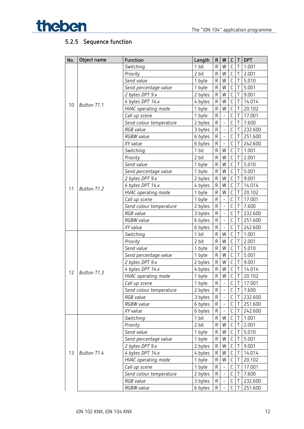

## **5.2.5 Sequence function**

| No. | Object name | Function                | Length  | ${\sf R}$    | W                            | C            | T      | <b>DPT</b> |
|-----|-------------|-------------------------|---------|--------------|------------------------------|--------------|--------|------------|
|     |             | Switching               | 1 bit   | R            | W                            | C            | Τ      | 1.001      |
|     |             | Priority                | 2 bit   | ${\sf R}$    | W                            | $\mathsf C$  | Τ      | 2.001      |
|     |             | Send value              | 1 byte  | ${\sf R}$    | W                            | $\mathsf{C}$ | Τ      | 5.010      |
|     |             | Send percentage value   | 1 byte  | ${\sf R}$    | W                            | $\mathsf C$  | Τ      | 5.001      |
|     |             | 2 bytes DPT 9.x         | 2 bytes | ${\sf R}$    | W                            | $\mathsf{C}$ | T      | 9.001      |
|     |             | 4 bytes DPT 14.x        | 4 bytes | ${\sf R}$    | W                            | $\mathsf C$  | $\top$ | 14.014     |
| 10  | Button T1.1 | HVAC operating mode     | 1 byte  | ${\sf R}$    | W                            | $\mathsf C$  | $\top$ | 20.102     |
|     |             | Call up scene           | 1 byte  | ${\sf R}$    | $\qquad \qquad \blacksquare$ | $\mathsf{C}$ | Τ      | 17.001     |
|     |             | Send colour temperature | 2 bytes | ${\sf R}$    | $\overline{a}$               | $\mathsf C$  | $\top$ | 7.600      |
|     |             | RGB value               | 3 bytes | ${\sf R}$    |                              | $\mathsf{C}$ | Τ      | 232.600    |
|     |             | <b>RGBW</b> value       | 6 bytes | R            | $\overline{\phantom{0}}$     | C            |        | 251.600    |
|     |             | XY value                | 6 bytes | ${\sf R}$    | $\blacksquare$               | $\mathsf{C}$ | Τ      | 242.600    |
|     |             | Switching               | 1 bit   | ${\sf R}$    | W                            | $\mathsf{C}$ | $\top$ | 1.001      |
|     |             | Priority                | 2 bit   | ${\sf R}$    | W                            | $\mathsf C$  | Τ      | 2.001      |
|     |             | Send value              | 1 byte  | R            | W                            | $\mathsf{C}$ | Τ      | 5.010      |
|     |             | Send percentage value   | 1 byte  | ${\sf R}$    | W                            | $\mathsf C$  | Τ      | 5.001      |
|     |             | 2 bytes DPT 9.x         | 2 bytes | ${\sf R}$    | W                            | $\mathsf{C}$ |        | 9.001      |
|     |             | 4 bytes DPT 14.x        | 4 bytes | ${\sf R}$    | W                            | C            | Τ      | 14.014     |
| 11  | Button T1.2 | HVAC operating mode     | 1 byte  | ${\sf R}$    | W                            | $\mathsf C$  | T      | 20.102     |
|     |             | Call up scene           | 1 byte  | ${\sf R}$    |                              | $\mathsf C$  | $\top$ | 17.001     |
|     |             | Send colour temperature | 2 bytes | ${\sf R}$    | $\overline{a}$               | $\mathsf C$  | T      | 7.600      |
|     |             | RGB value               | 3 bytes | ${\sf R}$    | $\overline{\phantom{0}}$     | $\mathsf{C}$ | Τ      | 232.600    |
|     |             | RGBW value              | 6 bytes | ${\sf R}$    | $\overline{a}$               | $\mathsf C$  | T      | 251.600    |
|     |             | XY value                | 6 bytes | ${\sf R}$    |                              | $\mathsf{C}$ | Τ      | 242.600    |
|     |             | Switching               | 1 bit   | ${\sf R}$    | W                            | C            | Τ      | 1.001      |
|     |             | Priority                | 2 bit   | ${\sf R}$    | W                            | $\mathsf C$  | T      | 2.001      |
|     |             | Send value              | 1 byte  | ${\sf R}$    | W                            | $\mathsf{C}$ | $\top$ | 5.010      |
|     |             | Send percentage value   | 1 byte  | ${\sf R}$    | W                            | $\mathsf C$  | T      | 5.001      |
|     |             | 2 bytes DPT 9.x         | 2 bytes | R            | W                            | $\mathsf C$  | T      | 9.001      |
|     |             | 4 bytes DPT 14.x        | 4 bytes | ${\sf R}$    | W                            | $\mathsf C$  | $\top$ | 14.014     |
| 12  | Button T1.3 | HVAC operating mode     | 1 byte  | R            | W                            | $\mathsf C$  | $\top$ | 20.102     |
|     |             | Call up scene           | 1 byte  | $\mathsf R$  | $\ddot{\phantom{a}}$         | $\mathsf C$  | $\top$ | 17.001     |
|     |             | Send colour temperature | 2 bytes | R            | $\overline{\phantom{a}}$     | С            | Τ      | 7.600      |
|     |             | RGB value               | 3 bytes | ${\sf R}$    |                              | C            | Τ      | 232.600    |
|     |             | RGBW value              | 6 bytes | R            |                              | $\mathsf C$  | Τ      | 251.600    |
|     |             | XY value                | 6 bytes | R            |                              | C            | Τ      | 242.600    |
|     |             | Switching               | 1 bit   | ${\sf R}$    | W                            | С            | Τ      | 1.001      |
|     |             | Priority                | 2 bit   | R            | W                            | $\mathsf{C}$ | Τ      | 2.001      |
|     |             | Send value              | 1 byte  | R            | W                            | С            | Τ      | 5.010      |
|     |             | Send percentage value   | 1 byte  | R            | W                            | $\mathsf C$  | Τ      | 5.001      |
|     |             | 2 bytes DPT 9.x         | 2 bytes | ${\sf R}$    | W                            | $\mathsf C$  | Τ      | 9.001      |
| 13  | Button T1.4 | 4 bytes DPT 14.x        | 4 bytes | ${\sf R}$    | W                            | $\mathsf C$  | Τ      | 14.014     |
|     |             | HVAC operating mode     | 1 byte  | R            | W                            | $\mathsf C$  | Τ      | 20.102     |
|     |             | Call up scene           | 1 byte  | ${\sf R}$    |                              | $\mathsf C$  | Τ      | 17.001     |
|     |             | Send colour temperature | 2 bytes | R            |                              | $\mathsf C$  | Τ      | 7.600      |
|     |             | RGB value               | 3 bytes | ${\sf R}$    |                              | С            | Τ      | 232.600    |
|     |             | RGBW value              | 6 bytes | $\mathsf{R}$ | $\blacksquare$               | С            | Τ      | 251.600    |
|     |             |                         |         |              |                              |              |        |            |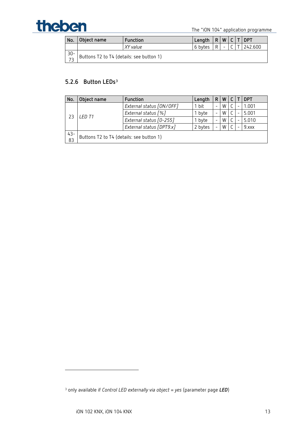# The "iON 104" application programme

| No.             | Object name                              | Function | Length $ R W C T DPT$ |   |  |         |
|-----------------|------------------------------------------|----------|-----------------------|---|--|---------|
|                 |                                          | XY value | 6 bytes               | R |  | 242.600 |
| $\frac{30}{73}$ | Buttons T2 to T4 (details: see button 1) |          |                       |   |  |         |

## **5.2.6 Button LEDs[3](#page-12-0)**

| No.    | Object name                              | <b>Function</b>          | Length  | R | W |       | <b>DPT</b> |
|--------|------------------------------------------|--------------------------|---------|---|---|-------|------------|
| 23     |                                          | External status [ON/OFF] | 1 bit   |   | W |       | 1.001      |
|        |                                          | External status [%]      | 1 byte  | W |   | 5.001 |            |
|        | I FD T1                                  | External status [0-255]  | I byte  |   | W |       | 5.010      |
|        |                                          | External status [DPT9.x] | 2 bytes |   | W |       | 9.xxx      |
| $43 -$ | Buttons T2 to T4 (details: see button 1) |                          |         |   |   |       |            |
| 83     |                                          |                          |         |   |   |       |            |

<span id="page-12-0"></span><sup>3</sup> only available if *Control LED externally via object = yes* (parameter page *LED*)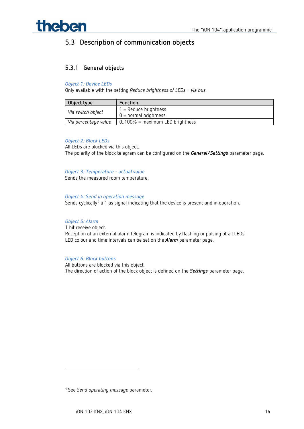

## <span id="page-13-0"></span>**5.3 Description of communication objects**

#### **5.3.1 General objects**

#### *Object 1: Device LEDs*

Only available with the setting *Reduce brightness of LEDs* = *via bus*.

| Object type          | <b>Function</b>                    |
|----------------------|------------------------------------|
| Via switch object    | $1 =$ Reduce brightness            |
|                      | $0 = normal brightness$            |
| Via percentage value | $0.100\%$ = maximum LED brightness |

#### *Object 2: Block LEDs*

All LEDs are blocked via this object. The polarity of the block telegram can be configured on the *General/Settings* parameter page.

#### *Object 3: Temperature - actual value*

Sends the measured room temperature.

#### *Object 4: Send in operation message*

Sends cyclically<sup>[4](#page-13-1)</sup> a 1 as signal indicating that the device is present and in operation.

#### *Object 5: Alarm*

1 bit receive object. Reception of an external alarm telegram is indicated by flashing or pulsing of all LEDs. LED colour and time intervals can be set on the *Alarm* parameter page.

#### *Object 6: Block buttons*

All buttons are blocked via this object. The direction of action of the block object is defined on the *Settings* parameter page.

<span id="page-13-1"></span><sup>4</sup> See *Send operating message* parameter*.*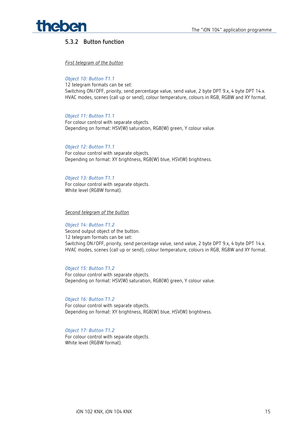

### **5.3.2 Button function**

*First telegram of the button*

*Object 10: Button T1.1* 

12 telegram formats can be set: Switching ON/OFF, priority, send percentage value, send value, 2 byte DPT 9.x, 4 byte DPT 14.x. HVAC modes, scenes (call up or send), colour temperature, colours in RGB, RGBW and XY format.

#### *Object 11: Button T1.1*

For colour control with separate objects. Depending on format: HSV(W) saturation, RGB(W) green, Y colour value.

#### *Object 12: Button T1.1*

For colour control with separate objects. Depending on format: XY brightness, RGB(W) blue, HSV(W) brightness.

#### *Object 13: Button T1.1*

For colour control with separate objects. White level (RGBW format).

#### *Second telegram of the button*

*Object 14: Button T1.2*  Second output object of the button. 12 telegram formats can be set: Switching ON/OFF, priority, send percentage value, send value, 2 byte DPT 9.x, 4 byte DPT 14.x. HVAC modes, scenes (call up or send), colour temperature, colours in RGB, RGBW and XY format.

#### *Object 15: Button T1.2*

For colour control with separate objects. Depending on format: HSV(W) saturation, RGB(W) green, Y colour value.

*Object 16: Button T1.2*  For colour control with separate objects. Depending on format: XY brightness, RGB(W) blue, HSV(W) brightness.

#### *Object 17: Button T1.2*

For colour control with separate objects. White level (RGBW format).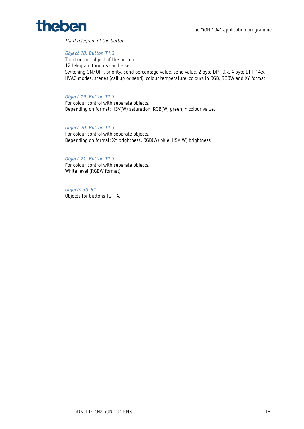# theben

*Third telegram of the button*

#### *Object 18: Button T1.3*

Third output object of the button. 12 telegram formats can be set: Switching ON/OFF, priority, send percentage value, send value, 2 byte DPT 9.x, 4 byte DPT 14.x. HVAC modes, scenes (call up or send), colour temperature, colours in RGB, RGBW and XY format.

#### *Object 19: Button T1.3*

For colour control with separate objects. Depending on format: HSV(W) saturation, RGB(W) green, Y colour value.

#### *Object 20: Button T1.3*

For colour control with separate objects. Depending on format: XY brightness, RGB(W) blue, HSV(W) brightness.

#### *Object 21: Button T1.3*

For colour control with separate objects. White level (RGBW format).

*Objects 30-81* Objects for buttons T2-T4.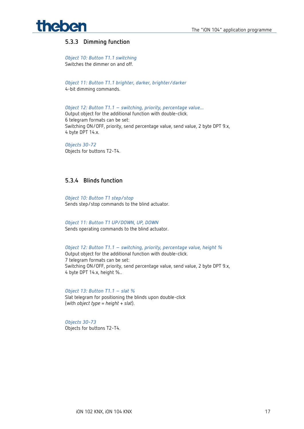

#### **5.3.3 Dimming function**

*Object 10: Button T1.1 switching* Switches the dimmer on and off.

*Object 11: Button T1.1 brighter, darker, brighter/darker* 4-bit dimming commands.

*Object 12: Button T1.1 – switching, priority, percentage value...* Output object for the additional function with double-click. 6 telegram formats can be set: Switching ON/OFF, priority, send percentage value, send value, 2 byte DPT 9.x, 4 byte DPT 14.x.

*Objects 30-72* Objects for buttons T2-T4.

#### **5.3.4 Blinds function**

*Object 10: Button T1 step/stop* Sends step/stop commands to the blind actuator.

*Object 11: Button T1 UP/DOWN, UP, DOWN* Sends operating commands to the blind actuator.

*Object 12: Button T1.1 – switching, priority, percentage value, height %*  Output object for the additional function with double-click. 7 telegram formats can be set: Switching ON/OFF, priority, send percentage value, send value, 2 byte DPT 9.x, 4 byte DPT 14.x, height %..

*Object 13: Button T1.1 – slat %* Slat telegram for positioning the blinds upon double-click (with *object type* = *height + slat*).

*Objects 30-73* Objects for buttons T2-T4.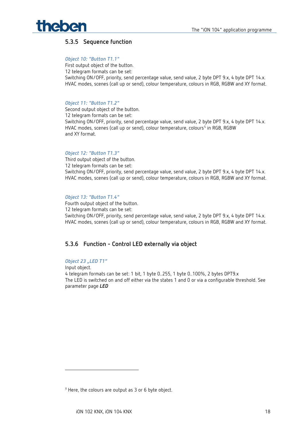

#### **5.3.5 Sequence function**

#### *Object 10: "Button T1.1"*

First output object of the button. 12 telegram formats can be set: Switching ON/OFF, priority, send percentage value, send value, 2 byte DPT 9.x, 4 byte DPT 14.x. HVAC modes, scenes (call up or send), colour temperature, colours in RGB, RGBW and XY format.

#### *Object 11: "Button T1.2"*

Second output object of the button. 12 telegram formats can be set: Switching ON/OFF, priority, send percentage value, send value, 2 byte DPT 9.x, 4 byte DPT 14.x. HVAC modes, scenes (call up or send), colour temperature, colours<sup>[5](#page-17-0)</sup> in RGB, RGBW and XY format.

#### *Object 12: "Button T1.3"*

Third output object of the button. 12 telegram formats can be set: Switching ON/OFF, priority, send percentage value, send value, 2 byte DPT 9.x, 4 byte DPT 14.x. HVAC modes, scenes (call up or send), colour temperature, colours in RGB, RGBW and XY format.

#### *Object 13: "Button T1.4"*

Fourth output object of the button. 12 telegram formats can be set: Switching ON/OFF, priority, send percentage value, send value, 2 byte DPT 9.x, 4 byte DPT 14.x. HVAC modes, scenes (call up or send), colour temperature, colours in RGB, RGBW and XY format.

#### **5.3.6 Function - Control LED externally via object**

#### *Object 23 "LED T1"*

Input object. 4 telegram formats can be set: 1 bit, 1 byte 0..255, 1 byte 0..100%, 2 bytes DPT9.x The LED is switched on and off either via the states 1 and 0 or via a configurable threshold. See parameter page *LED*

<span id="page-17-0"></span><sup>5</sup> Here, the colours are output as 3 or 6 byte object.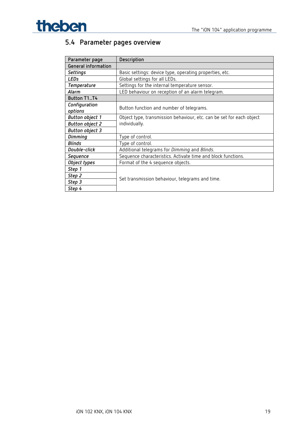

## <span id="page-18-0"></span>**5.4 Parameter pages overview**

| Parameter page         | Description                                                          |  |
|------------------------|----------------------------------------------------------------------|--|
| General information    |                                                                      |  |
| <b>Settings</b>        | Basic settings: device type, operating properties, etc.              |  |
| <b>LEDs</b>            | Global settings for all LEDs.                                        |  |
| Temperature            | Settings for the internal temperature sensor.                        |  |
| Alarm                  | LED behaviour on reception of an alarm telegram.                     |  |
| Button T1T4            |                                                                      |  |
| Configuration          | Button function and number of telegrams.                             |  |
| options                |                                                                      |  |
| <b>Button object 1</b> | Object type, transmission behaviour, etc. can be set for each object |  |
| <b>Button object 2</b> | individually.                                                        |  |
| <b>Button object 3</b> |                                                                      |  |
| <b>Dimming</b>         | Type of control.                                                     |  |
| <b>Blinds</b>          | Type of control.                                                     |  |
| Double-click           | Additional telegrams for Dimming and Blinds.                         |  |
| Sequence               | Sequence characteristics. Activate time and block functions.         |  |
| Object types           | Format of the 4 sequence objects.                                    |  |
| Step 1                 |                                                                      |  |
| Step 2                 |                                                                      |  |
| Step 3                 | Set transmission behaviour, telegrams and time.                      |  |
| Step 4                 |                                                                      |  |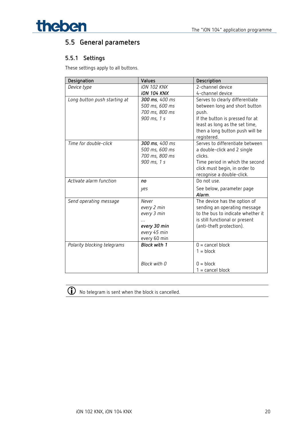

## <span id="page-19-0"></span>**5.5 General parameters**

### **5.5.1 Settings**

These settings apply to all buttons.

| Designation                  | Values              | Description                                    |
|------------------------------|---------------------|------------------------------------------------|
| Device type                  | <b>iON 102 KNX</b>  | 2-channel device                               |
|                              | <b>iON 104 KNX</b>  | 4-channel device                               |
| Long button push starting at | 300 ms, 400 ms      | Serves to clearly differentiate                |
|                              | 500 ms, 600 ms      | between long and short button                  |
|                              | 700 ms, 800 ms      | push.                                          |
|                              | 900 ms, 1 s         | If the button is pressed for at                |
|                              |                     | least as long as the set time,                 |
|                              |                     | then a long button push will be<br>registered. |
| Time for double-click        | 300 ms, 400 ms      | Serves to differentiate between                |
|                              | 500 ms, 600 ms      | a double-click and 2 single                    |
|                              | 700 ms, 800 ms      | clicks.                                        |
|                              | 900 ms, 1 s         | Time period in which the second                |
|                              |                     | click must begin, in order to                  |
|                              |                     | recognise a double-click.                      |
| Activate alarm function      | no                  | Do not use.                                    |
|                              | yes                 | See below, parameter page                      |
|                              |                     | Alarm.                                         |
| Send operating message       | Never               | The device has the option of                   |
|                              | every 2 min         | sending an operating message                   |
|                              | every 3 min         | to the bus to indicate whether it              |
|                              |                     | is still functional or present                 |
|                              | every 30 min        | (anti-theft protection).                       |
|                              | every 45 min        |                                                |
|                              | every 60 min        |                                                |
| Polarity blocking telegrams  | <b>Block with 1</b> | $0 =$ cancel block                             |
|                              |                     | $1 = block$                                    |
|                              |                     |                                                |
|                              | Block with 0        | $0 = block$                                    |
|                              |                     | $1 =$ cancel block                             |

No telegram is sent when the block is cancelled.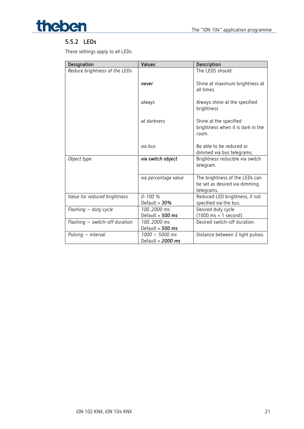

### **5.5.2 LEDs**

These settings apply to all LEDs.

| Designation                    | Values                                | Description                                                                   |
|--------------------------------|---------------------------------------|-------------------------------------------------------------------------------|
| Reduce brightness of the LEDs  |                                       | The LEDS should:                                                              |
|                                | never                                 | Shine at maximum brightness at<br>all times.                                  |
|                                | always                                | Always shine at the specified<br>brightness                                   |
|                                | at darkness                           | Shine at the specified<br>brightness when it is dark in the<br>room.          |
|                                | via bus                               | Be able to be reduced or<br>dimmed via bus telegrams.                         |
| Object type                    | via switch object                     | Brightness reducible via switch<br>telegram.                                  |
|                                | via percentage value                  | The brightness of the LEDs can<br>be set as desired via dimming<br>telegrams. |
| Value for reduced brightness   | $0 - 100 \%$<br>Default = $30\%$      | Reduced LED brightness, if not<br>specified via the bus.                      |
| Flashing - duty cycle          | 1002000 ms                            | Desired duty cycle                                                            |
|                                | Default = $500$ ms                    | $(1000 \text{ ms} = 1 \text{ second}).$                                       |
| Flashing - switch-off duration | 1002000 ms<br>Default = $500$ ms      | Desired switch-off duration.                                                  |
| Pulsing $-$ interval           | 1000 - 5000 ms<br>Default = $2000$ ms | Distance between 2 light pulses.                                              |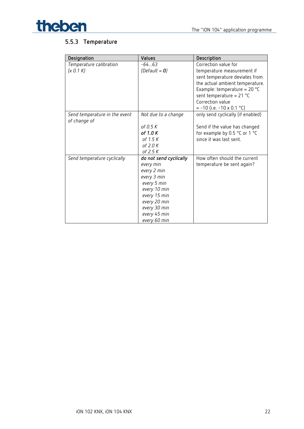

## The "iON 104" application programme

## **5.5.3 Temperature**

| Designation                                   | Values                 | Description                        |
|-----------------------------------------------|------------------------|------------------------------------|
| Temperature calibration                       | $-6463$                | Correction value for               |
| (x 0.1 K)                                     | (Default = $0$ )       | temperature measurement if         |
|                                               |                        | sent temperature deviates from     |
|                                               |                        | the actual ambient temperature.    |
|                                               |                        | Example: temperature = $20 °C$     |
|                                               |                        | sent temperature = $21 °C$         |
|                                               |                        | Correction value                   |
|                                               |                        | $= -10$ (i.e. $-10 \times 0.1$ °C) |
| Send temperature in the event<br>of change of | Not due to a change    | only send cyclically (if enabled)  |
|                                               | of 0.5 K               | Send if the value has changed      |
|                                               | of 1.0K                | for example by 0.5 °C or 1 °C      |
|                                               | of 1.5 $K$             | since it was last sent.            |
|                                               | of 2.0 K               |                                    |
|                                               | of 2.5 K               |                                    |
| Send temperature cyclically                   | do not send cyclically | How often should the current       |
|                                               | every min              | temperature be sent again?         |
|                                               | every 2 min            |                                    |
|                                               | every 3 min            |                                    |
|                                               | every 5 min            |                                    |
|                                               | every 10 min           |                                    |
|                                               | every 15 min           |                                    |
|                                               | every 20 min           |                                    |
|                                               | every 30 min           |                                    |
|                                               | every 45 min           |                                    |
|                                               | every 60 min           |                                    |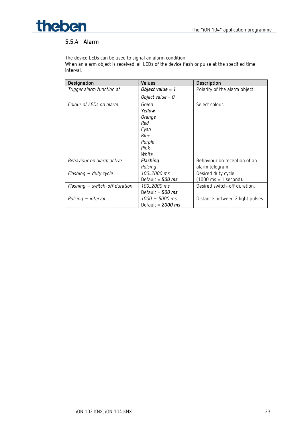

### **5.5.4 Alarm**

The device LEDs can be used to signal an alarm condition.

When an alarm object is received, all LEDs of the device flash or pulse at the specified time interval.

| Designation                    | <b>Values</b>       | Description                             |
|--------------------------------|---------------------|-----------------------------------------|
| Trigger alarm function at      | Object value = 1    | Polarity of the alarm object            |
|                                | Object value = $0$  |                                         |
| Colour of LEDs on alarm        | Green               | Select colour.                          |
|                                | Yellow              |                                         |
|                                | Orange              |                                         |
|                                | Red                 |                                         |
|                                | Cyan                |                                         |
|                                | Blue                |                                         |
|                                | Purple              |                                         |
|                                | Pink                |                                         |
|                                | White               |                                         |
| Behaviour on alarm active      | Flashing            | Behaviour on reception of an            |
|                                | Pulsing             | alarm telegram.                         |
| Flashing – duty cycle          | 1002000 ms          | Desired duty cycle                      |
|                                | Default = $500$ ms  | $(1000 \text{ ms} = 1 \text{ second}).$ |
| Flashing - switch-off duration | 1002000 ms          | Desired switch-off duration.            |
|                                | Default = 500 ms    |                                         |
| Pulsing – interval             | 1000 – 5000 ms      | Distance between 2 light pulses.        |
|                                | Default = $2000$ ms |                                         |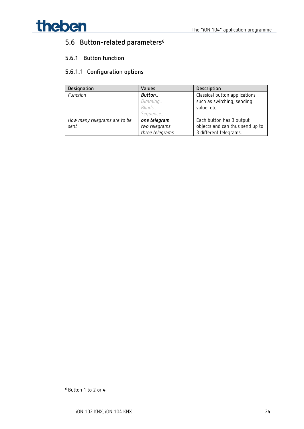

## <span id="page-23-0"></span>**5.6 Button-related parameters[6](#page-23-1)**

## **5.6.1 Button function**

## **5.6.1.1 Configuration options**

| Designation                  | <b>Values</b>   | Description                     |
|------------------------------|-----------------|---------------------------------|
| Function                     | Button          | Classical button applications   |
|                              | Dimming         | such as switching, sending      |
|                              | Blinds          | value, etc.                     |
|                              | Sequence        |                                 |
| How many telegrams are to be | one telegram    | Each button has 3 output        |
| sent                         | two telegrams   | objects and can thus send up to |
|                              | three telegrams | 3 different telegrams.          |

<span id="page-23-1"></span> $6$  Button 1 to 2 or 4.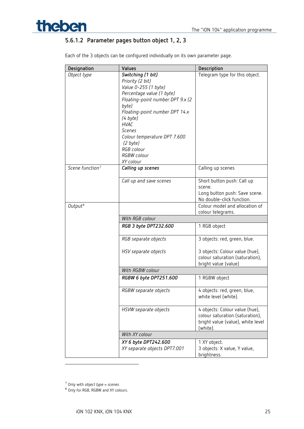

## **5.6.1.2 Parameter pages button object 1, 2, 3**

|  |  | Each of the 3 objects can be configured individually on its own parameter page. |  |
|--|--|---------------------------------------------------------------------------------|--|
|  |  |                                                                                 |  |

| Designation                 | Values                                                                                                                                                                                                                                                                                                       | Description                                                                                                        |
|-----------------------------|--------------------------------------------------------------------------------------------------------------------------------------------------------------------------------------------------------------------------------------------------------------------------------------------------------------|--------------------------------------------------------------------------------------------------------------------|
| Object type                 | Switching (1 bit)<br>Priority (2 bit)<br>Value 0-255 (1 byte)<br>Percentage value (1 byte)<br>Floating-point number DPT 9.x (2)<br>byte)<br>Floating-point number DPT 14.x<br>(4 byte)<br><b>HVAC</b><br><b>Scenes</b><br>Colour temperature DPT 7.600<br>(2 byte)<br>RGB colour<br>RGBW colour<br>XY colour | Telegram type for this object.                                                                                     |
| Scene function <sup>7</sup> | Calling up scenes                                                                                                                                                                                                                                                                                            | Calling up scenes                                                                                                  |
|                             | Call up and save scenes                                                                                                                                                                                                                                                                                      | Short button push: Call up<br>scene.<br>Long button push: Save scene.<br>No double-click function.                 |
| Output <sup>8</sup>         |                                                                                                                                                                                                                                                                                                              | Colour model and allocation of<br>colour telegrams.                                                                |
|                             | With RGB colour                                                                                                                                                                                                                                                                                              |                                                                                                                    |
|                             | RGB 3 byte DPT232.600                                                                                                                                                                                                                                                                                        | 1 RGB object                                                                                                       |
|                             | RGB separate objects                                                                                                                                                                                                                                                                                         | 3 objects: red, green, blue.                                                                                       |
|                             | HSV separate objects                                                                                                                                                                                                                                                                                         | 3 objects: Colour value (hue),<br>colour saturation (saturation),<br>bright value (value)                          |
|                             | With RGBW colour                                                                                                                                                                                                                                                                                             |                                                                                                                    |
|                             | RGBW 6 byte DPT251.600                                                                                                                                                                                                                                                                                       | 1 RGBW object                                                                                                      |
|                             | RGBW separate objects                                                                                                                                                                                                                                                                                        | 4 objects: red, green, blue,<br>white level (white).                                                               |
|                             | HSVW separate objects                                                                                                                                                                                                                                                                                        | 4 objects: Colour value (hue),<br>colour saturation (saturation),<br>bright value (value), white level<br>(white). |
|                             | With XY colour                                                                                                                                                                                                                                                                                               |                                                                                                                    |
|                             | XY 6 byte DPT242.600                                                                                                                                                                                                                                                                                         | 1 XY object.                                                                                                       |
|                             | XY separate objects DPT7.001                                                                                                                                                                                                                                                                                 | 3 objects: X value, Y value,<br>brightness.                                                                        |

<span id="page-24-1"></span><span id="page-24-0"></span><sup>7</sup> Only with *object type* = *scenes*

8 Only for RGB, RGBW and XY colours.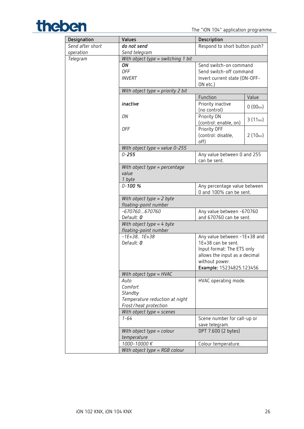

| Designation      | Values                                               | Description                                             |               |
|------------------|------------------------------------------------------|---------------------------------------------------------|---------------|
| Send after short | do not send                                          | Respond to short button push?                           |               |
| operation        | Send telegram                                        |                                                         |               |
| Telegram         | With object type = switching 1 bit                   |                                                         |               |
|                  | ON                                                   | Send switch-on command                                  |               |
|                  | <b>OFF</b>                                           | Send switch-off command                                 |               |
|                  | <b>INVERT</b>                                        | Invert current state (ON-OFF-                           |               |
|                  |                                                      | ON etc.)                                                |               |
|                  | With object type = priority 2 bit                    |                                                         |               |
|                  |                                                      | Function                                                | Value         |
|                  | inactive                                             | Priority inactive<br>(no control)                       | $0(00_{bin})$ |
|                  | ON                                                   | Priority ON                                             | $3(11_{bin})$ |
|                  |                                                      | (control: enable, on)<br>Priority OFF                   |               |
|                  | 0FF                                                  |                                                         |               |
|                  |                                                      | (control: disable,<br>off)                              | $2(10_{bin})$ |
|                  | With object type = value $0-255$                     |                                                         |               |
|                  | $0 - 255$                                            | Any value between 0 and 255                             |               |
|                  |                                                      | can be sent.                                            |               |
|                  | With object type = percentage                        |                                                         |               |
|                  | value                                                |                                                         |               |
|                  | 1 byte                                               |                                                         |               |
|                  | $0 - 100 %$                                          | Any percentage value between<br>0 and 100% can be sent. |               |
|                  | With object type $= 2$ byte<br>floating-point number |                                                         |               |
|                  | $-670760670760$                                      | Any value between -670760                               |               |
|                  | Default: 0                                           | and 670760 can be sent.                                 |               |
|                  | With object type $=$ 4 byte                          |                                                         |               |
|                  | floating-point number                                |                                                         |               |
|                  | $-1E+38.$ . $1E+38$                                  | Any value between -1E+38 and                            |               |
|                  | Default: 0                                           | 1E+38 can be sent.                                      |               |
|                  |                                                      | Input format: The ETS only                              |               |
|                  |                                                      | allows the input as a decimal                           |               |
|                  |                                                      | without power.                                          |               |
|                  |                                                      | Example: 15234825.123456                                |               |
|                  | With object type = HVAC                              |                                                         |               |
|                  | Auto                                                 | HVAC operating mode.                                    |               |
|                  | Comfort                                              |                                                         |               |
|                  | Standby                                              |                                                         |               |
|                  | Temperature reduction at night                       |                                                         |               |
|                  | Frost/heat protection<br>With object type $=$ scenes |                                                         |               |
|                  | $1 - 64$                                             | Scene number for call-up or                             |               |
|                  |                                                      | save telegram.                                          |               |
|                  | With object type = colour<br>temperature             | DPT 7.600 (2 bytes)                                     |               |
|                  | 1000-10000 K                                         | Colour temperature.                                     |               |
|                  | With object type = $RGB$ colour                      |                                                         |               |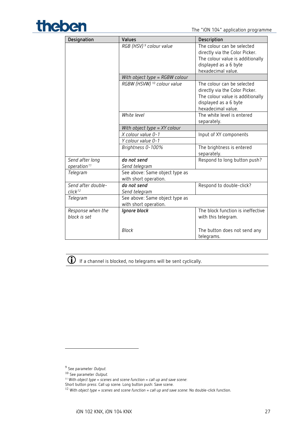

| Designation                                | Values                                                  | Description                                                                                                                                     |
|--------------------------------------------|---------------------------------------------------------|-------------------------------------------------------------------------------------------------------------------------------------------------|
|                                            | RGB (HSV) <sup>9</sup> colour value                     | The colour can be selected<br>directly via the Color Picker.<br>The colour value is additionally<br>displayed as a 6 byte<br>hexadecimal value. |
|                                            | With object type = RGBW colour                          |                                                                                                                                                 |
|                                            | RGBW (HSVW) <sup>10</sup> colour value                  | The colour can be selected<br>directly via the Color Picker.<br>The colour value is additionally<br>displayed as a 6 byte<br>hexadecimal value. |
|                                            | White level                                             | The white level is entered<br>separately.                                                                                                       |
|                                            | With object type $= XY$ colour                          |                                                                                                                                                 |
|                                            | X colour value 0-1<br>Y colour value 0-1                | Input of XY components                                                                                                                          |
|                                            | Brightness 0-100%                                       | The brightness is entered<br>separately.                                                                                                        |
| Send after long<br>operation <sup>11</sup> | do not send<br>Send telegram                            | Respond to long button push?                                                                                                                    |
| Telegram                                   | See above: Same object type as<br>with short operation. |                                                                                                                                                 |
| Send after double-<br>click <sup>12</sup>  | do not send<br>Send telegram                            | Respond to double-click?                                                                                                                        |
| Telegram                                   | See above: Same object type as<br>with short operation. |                                                                                                                                                 |
| Response when the<br>block is set          | Ignore block                                            | The block function is ineffective<br>with this telegram.                                                                                        |
|                                            | <b>Block</b>                                            | The button does not send any<br>telegrams.                                                                                                      |

 $\bigodot$  If a channel is blocked, no telegrams will be sent cyclically.

<sup>9</sup> See parameter *Output.*

<span id="page-26-2"></span><span id="page-26-1"></span><span id="page-26-0"></span><sup>10</sup> See parameter *Output.*

<sup>11</sup> With *object type* = *scenes* and *scene function* = *call up and save scene*:

Short button press: Call up scene. Long button push: Save scene.

<span id="page-26-3"></span><sup>12</sup> With *object type* = *scenes* and *scene function* = *call up and save scene*: No double-click function.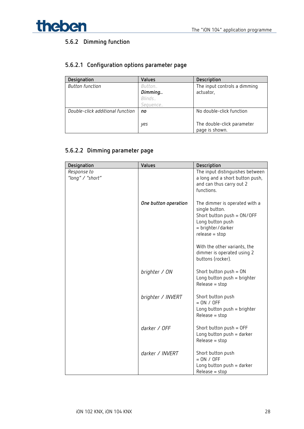

## **5.6.2 Dimming function**

### **5.6.2.1 Configuration options parameter page**

| Designation                      | Values   | Description                  |
|----------------------------------|----------|------------------------------|
| <b>Button function</b>           | Button   | The input controls a dimming |
|                                  | Dimming  | actuator,                    |
|                                  | Blinds   |                              |
|                                  | Seguence |                              |
| Double-click additional function | no       | No double-click function     |
|                                  |          |                              |
|                                  | yes      | The double-click parameter   |
|                                  |          | page is shown.               |

## **5.6.2.2 Dimming parameter page**

| Designation                     | Values               | Description                                                                                                                                |
|---------------------------------|----------------------|--------------------------------------------------------------------------------------------------------------------------------------------|
| Response to<br>"long" / "short" |                      | The input distinguishes between<br>a long and a short button push,<br>and can thus carry out 2<br>functions.                               |
|                                 | One button operation | The dimmer is operated with a<br>single button.<br>Short button push = ON/OFF<br>Long button push<br>= brighter/darker<br>$release = stop$ |
|                                 |                      | With the other variants, the<br>dimmer is operated using 2<br>buttons (rocker).                                                            |
|                                 | brighter / ON        | Short button $push = ON$<br>Long button push = brighter<br>$Release = stop$                                                                |
|                                 | brighter / INVERT    | Short button push<br>$= ON / OFF$<br>Long button $push = brighter$<br>$Release = stop$                                                     |
|                                 | darker / OFF         | Short button $push = OFF$<br>Long button $push = darker$<br>$Release = stop$                                                               |
|                                 | darker / INVERT      | Short button push<br>$= ON / OFF$<br>Long button $push = darker$<br>$Release = stop$                                                       |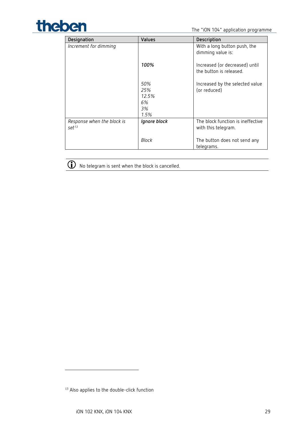

| Designation                                     | Values                                  | Description                                               |
|-------------------------------------------------|-----------------------------------------|-----------------------------------------------------------|
| Increment for dimming                           |                                         | With a long button push, the<br>dimming value is:         |
|                                                 | 100%                                    | Increased (or decreased) until<br>the button is released. |
|                                                 | 50%<br>25%<br>12.5%<br>6%<br>3%<br>1.5% | Increased by the selected value<br>(or reduced)           |
| Response when the block is<br>set <sup>13</sup> | Ignore block                            | The block function is ineffective<br>with this telegram.  |
|                                                 | Block                                   | The button does not send any<br>telegrams.                |



 $\bigodot$  No telegram is sent when the block is cancelled.

<span id="page-28-0"></span><sup>13</sup> Also applies to the double-click function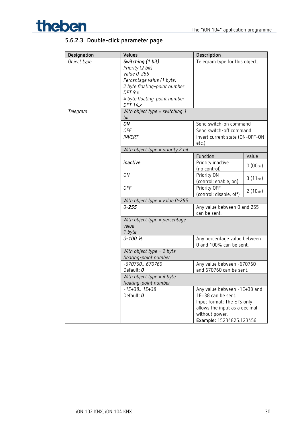

## **5.6.2.3 Double-click parameter page**

| Designation | Values                                  | Description                     |               |
|-------------|-----------------------------------------|---------------------------------|---------------|
| Object type | Switching (1 bit)                       | Telegram type for this object.  |               |
|             | Priority (2 bit)                        |                                 |               |
|             | Value 0-255                             |                                 |               |
|             | Percentage value (1 byte)               |                                 |               |
|             | 2 byte floating-point number            |                                 |               |
|             | DPT 9.x                                 |                                 |               |
|             | 4 byte floating-point number            |                                 |               |
|             | <b>DPT 14.x</b>                         |                                 |               |
| Telegram    | With object type = switching $1$<br>bit |                                 |               |
|             | ON                                      | Send switch-on command          |               |
|             | 0FF                                     | Send switch-off command         |               |
|             | <b>INVERT</b>                           | Invert current state (ON-OFF-ON |               |
|             |                                         | etc.)                           |               |
|             | With object type = priority 2 bit       |                                 |               |
|             |                                         | Function                        | Value         |
|             | inactive                                | Priority inactive               |               |
|             |                                         | (no control)                    | $0(00_{bin})$ |
|             | ON                                      | Priority ON                     |               |
|             |                                         | (control: enable, on)           | $3(11_{bin})$ |
|             | <b>OFF</b>                              | Priority OFF                    |               |
|             |                                         | (control: disable, off)         | $2(10_{bin})$ |
|             | With object type = value 0-255          |                                 |               |
|             | $0 - 255$                               | Any value between 0 and 255     |               |
|             |                                         | can be sent.                    |               |
|             | With object type = percentage           |                                 |               |
|             | value                                   |                                 |               |
|             | 1 byte                                  |                                 |               |
|             | $0 - 100 %$                             | Any percentage value between    |               |
|             |                                         | 0 and 100% can be sent.         |               |
|             | With object type $= 2$ byte             |                                 |               |
|             | floating-point number                   |                                 |               |
|             | $-670760670760$                         | Any value between -670760       |               |
|             | Default: 0                              | and 670760 can be sent.         |               |
|             | With object type $=$ 4 byte             |                                 |               |
|             | floating-point number                   |                                 |               |
|             | $-1E+38.$ . $1E+38$                     | Any value between -1E+38 and    |               |
|             | Default: 0                              | 1E+38 can be sent.              |               |
|             |                                         | Input format: The ETS only      |               |
|             |                                         | allows the input as a decimal   |               |
|             |                                         | without power.                  |               |
|             |                                         | Example: 15234825.123456        |               |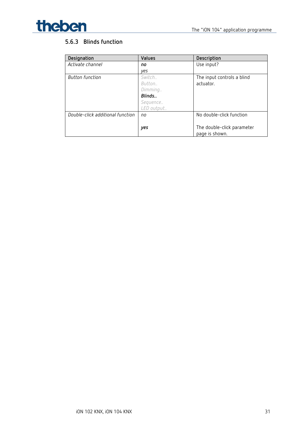

## **5.6.3 Blinds function**

| Designation                      | <b>Values</b> | Description                |
|----------------------------------|---------------|----------------------------|
| Activate channel                 | no            | Use input?                 |
|                                  | ves           |                            |
| Button function                  | Switch        | The input controls a blind |
|                                  | Button        | actuator.                  |
|                                  | Dimming       |                            |
|                                  | Blinds        |                            |
|                                  | Sequence      |                            |
|                                  | LED output    |                            |
| Double-click additional function | no            | No double-click function   |
|                                  |               |                            |
|                                  | yes           | The double-click parameter |
|                                  |               | page is shown.             |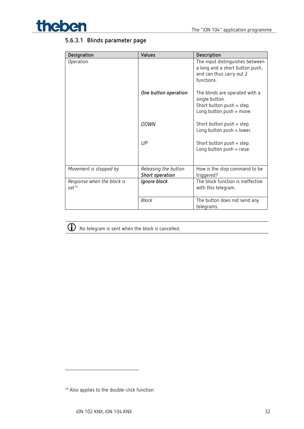

## **5.6.3.1 Blinds parameter page**

| Designation                                     | <b>Values</b>                           | Description                                                                                                     |
|-------------------------------------------------|-----------------------------------------|-----------------------------------------------------------------------------------------------------------------|
| Operation                                       |                                         | The input distinguishes between<br>a long and a short button push,<br>and can thus carry out 2<br>functions.    |
|                                                 | One button operation                    | The blinds are operated with a<br>single button.<br>Short button $push = step$ .<br>Long button $push = move$ . |
|                                                 | <b>DOWN</b>                             | Short button push = step.<br>Long button $push = lower$ .                                                       |
|                                                 | UP                                      | Short button push $=$ step.<br>Long button $push = raise$ .                                                     |
| Movement is stopped by                          | Releasing the button<br>Short operation | How is the stop command to be<br>triggered?                                                                     |
| Response when the block is<br>set <sup>14</sup> | Ignore block                            | The block function is ineffective<br>with this telegram.                                                        |
|                                                 | <b>Block</b>                            | The button does not send any<br>telegrams.                                                                      |



 $\bigodot$  No telegram is sent when the block is cancelled.

<span id="page-31-0"></span><sup>14</sup> Also applies to the double-click function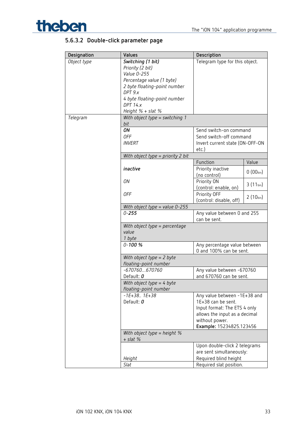

## **5.6.3.2 Double-click parameter page**

| Designation | Values                                        | Description                                 |               |
|-------------|-----------------------------------------------|---------------------------------------------|---------------|
| Object type | Switching (1 bit)                             | Telegram type for this object.              |               |
|             | Priority (2 bit)                              |                                             |               |
|             | Value 0-255                                   |                                             |               |
|             | Percentage value (1 byte)                     |                                             |               |
|             | 2 byte floating-point number                  |                                             |               |
|             | DPT 9.x                                       |                                             |               |
|             | 4 byte floating-point number                  |                                             |               |
|             | <b>DPT 14.x</b>                               |                                             |               |
|             | Height $%$ + slat $%$                         |                                             |               |
| Telegram    | With object type = switching $1$              |                                             |               |
|             | bit                                           |                                             |               |
|             | ON                                            | Send switch-on command                      |               |
|             | <b>OFF</b>                                    | Send switch-off command                     |               |
|             | <b>INVERT</b>                                 | Invert current state (ON-OFF-ON             |               |
|             |                                               | etc.)                                       |               |
|             | With object type = priority 2 bit             |                                             |               |
|             |                                               | Function                                    | Value         |
|             | inactive                                      | Priority inactive                           | $0(00_{bin})$ |
|             |                                               | (no control)                                |               |
|             | ON                                            | Priority ON                                 | $3(11_{bin})$ |
|             |                                               | (control: enable, on)                       |               |
|             | 0FF                                           | Priority OFF                                | $2(10_{bin})$ |
|             |                                               | (control: disable, off)                     |               |
|             | With object type = value $0-255$              |                                             |               |
|             | $0 - 255$                                     | Any value between 0 and 255<br>can be sent. |               |
|             | With object type = percentage                 |                                             |               |
|             | value                                         |                                             |               |
|             | 1 byte                                        |                                             |               |
|             | $0 - 100 %$                                   | Any percentage value between                |               |
|             |                                               | 0 and 100% can be sent.                     |               |
|             | With object type $= 2$ byte                   |                                             |               |
|             | floating-point number                         |                                             |               |
|             | $-670760670760$                               | Any value between -670760                   |               |
|             | Default: 0                                    | and 670760 can be sent.                     |               |
|             | With object type = $4$ byte                   |                                             |               |
|             | floating-point number                         |                                             |               |
|             | $-1E+38.$ . $1E+38$                           | Any value between -1E+38 and                |               |
|             | Default: 0                                    | 1E+38 can be sent.                          |               |
|             |                                               | Input format: The ETS 4 only                |               |
|             |                                               | allows the input as a decimal               |               |
|             |                                               | without power.                              |               |
|             |                                               | Example: 15234825.123456                    |               |
|             | With object type = height $%$<br>$+$ slat $%$ |                                             |               |
|             |                                               | Upon double-click 2 telegrams               |               |
|             |                                               | are sent simultaneously:                    |               |
|             | Height                                        | Required blind height                       |               |
|             | Slat                                          | Required slat position.                     |               |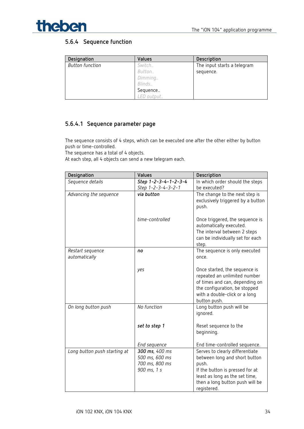

### **5.6.4 Sequence function**

| Designation            | Values     | Description                 |
|------------------------|------------|-----------------------------|
| <b>Button function</b> | Switch     | The input starts a telegram |
|                        | Button     | sequence.                   |
|                        | Dimming    |                             |
|                        | Blinds     |                             |
|                        | Sequence   |                             |
|                        | LED output |                             |

### **5.6.4.1 Sequence parameter page**

The sequence consists of 4 steps, which can be executed one after the other either by button push or time-controlled.

The sequence has a total of 4 objects.

At each step, all 4 objects can send a new telegram each.

| Designation                  | Values               | Description                                    |
|------------------------------|----------------------|------------------------------------------------|
| Sequence details             | Step 1-2-3-4-1-2-3-4 | In which order should the steps                |
|                              | Step 1-2-3-4-3-2-1   | be executed?                                   |
| Advancing the sequence       | via button           | The change to the next step is                 |
|                              |                      | exclusively triggered by a button              |
|                              |                      | push.                                          |
|                              | time-controlled      | Once triggered, the sequence is                |
|                              |                      | automatically executed.                        |
|                              |                      | The interval between 2 steps                   |
|                              |                      | can be individually set for each               |
|                              |                      | step.                                          |
| Restart sequence             | no                   | The sequence is only executed                  |
| automatically                |                      | once.                                          |
|                              |                      | Once started, the sequence is                  |
|                              | yes                  | repeated an unlimited number                   |
|                              |                      | of times and can, depending on                 |
|                              |                      | the configuration, be stopped                  |
|                              |                      | with a double-click or a long                  |
|                              |                      | button push.                                   |
| On long button push          | No function          | Long button push will be                       |
|                              |                      | ignored.                                       |
|                              | set to step 1        | Reset sequence to the                          |
|                              |                      | beginning.                                     |
|                              |                      |                                                |
|                              | End sequence         | End time-controlled sequence.                  |
| Long button push starting at | 300 ms, 400 ms       | Serves to clearly differentiate                |
|                              | 500 ms, 600 ms       | between long and short button                  |
|                              | 700 ms, 800 ms       | push.                                          |
|                              | 900 ms, 1 s          | If the button is pressed for at                |
|                              |                      | least as long as the set time,                 |
|                              |                      | then a long button push will be<br>registered. |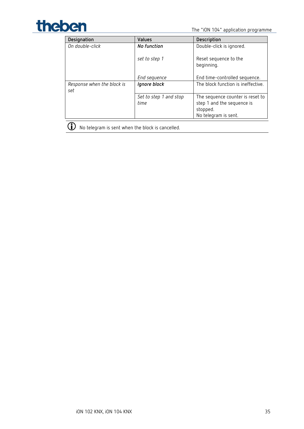

| Designation                       | <b>Values</b>                  | Description                                                                                        |
|-----------------------------------|--------------------------------|----------------------------------------------------------------------------------------------------|
| On double-click                   | No function                    | Double-click is ignored.                                                                           |
|                                   | set to step 1                  | Reset sequence to the<br>beginning.                                                                |
|                                   | End sequence                   | End time-controlled sequence.                                                                      |
| Response when the block is<br>set | Ignore block                   | The block function is ineffective.                                                                 |
|                                   | Set to step 1 and stop<br>time | The sequence counter is reset to<br>step 1 and the sequence is<br>stopped.<br>No telegram is sent. |
|                                   |                                |                                                                                                    |

(i) No telegram is sent when the block is cancelled.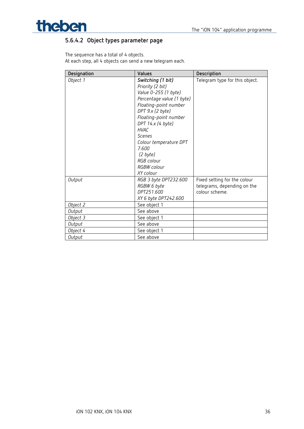

## **5.6.4.2 Object types parameter page**

The sequence has a total of 4 objects. At each step, all 4 objects can send a new telegram each.

| Designation | Values                                                                                                                                                                                                                                                                                                         | Description                                                                   |
|-------------|----------------------------------------------------------------------------------------------------------------------------------------------------------------------------------------------------------------------------------------------------------------------------------------------------------------|-------------------------------------------------------------------------------|
| Object 1    | Switching (1 bit)<br>Priority (2 bit)<br>Value 0-255 (1 byte)<br>Percentage value (1 byte)<br>Floating-point number<br>DPT 9.x (2 byte)<br>Floating-point number<br>DPT 14.x (4 byte)<br><b>HVAC</b><br><b>Scenes</b><br>Colour temperature DPT<br>7.600<br>(2 byte)<br>RGB colour<br>RGBW colour<br>XY colour | Telegram type for this object.                                                |
| Output      | RGB 3 byte DPT232.600<br>RGBW 6 byte<br>DPT251.600<br>XY 6 byte DPT242.600                                                                                                                                                                                                                                     | Fixed setting for the colour<br>telegrams, depending on the<br>colour scheme. |
| Object 2    | See object 1                                                                                                                                                                                                                                                                                                   |                                                                               |
| Output      | See above                                                                                                                                                                                                                                                                                                      |                                                                               |
| Object 3    | See object 1                                                                                                                                                                                                                                                                                                   |                                                                               |
| Output      | See above                                                                                                                                                                                                                                                                                                      |                                                                               |
| Object 4    | See object 1                                                                                                                                                                                                                                                                                                   |                                                                               |
| Output      | See above                                                                                                                                                                                                                                                                                                      |                                                                               |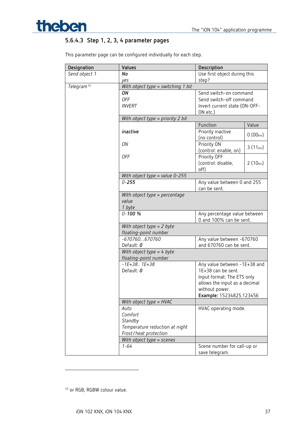

## **5.6.4.3 Step 1, 2, 3, 4 parameter pages**

This parameter page can be configured individually for each step.

| Designation            | Values                             | Description                                             |               |
|------------------------|------------------------------------|---------------------------------------------------------|---------------|
| Send object 1          | No                                 | Use first object during this                            |               |
|                        | yes                                | step?                                                   |               |
| Telegram <sup>15</sup> | With object type = switching 1 bit |                                                         |               |
|                        | ON                                 | Send switch-on command                                  |               |
|                        | <b>OFF</b>                         | Send switch-off command                                 |               |
|                        | <b>INVERT</b>                      | Invert current state (ON-OFF-                           |               |
|                        |                                    | ON etc.)                                                |               |
|                        | With object type = priority 2 bit  |                                                         |               |
|                        |                                    | Function                                                | Value         |
|                        | inactive                           | Priority inactive                                       |               |
|                        |                                    | (no control)                                            | $0(00_{bin})$ |
|                        | ON                                 | Priority ON                                             |               |
|                        |                                    | (control: enable, on)                                   | $3(11_{bin})$ |
|                        | 0FF                                | Priority OFF                                            |               |
|                        |                                    | (control: disable,                                      | $2(10_{bin})$ |
|                        |                                    | off)                                                    |               |
|                        | With object type = value $0-255$   |                                                         |               |
|                        | $0 - 255$                          | Any value between 0 and 255                             |               |
|                        |                                    | can be sent.                                            |               |
|                        | With object type = percentage      |                                                         |               |
|                        | value                              |                                                         |               |
|                        | 1 byte                             |                                                         |               |
|                        | $0 - 100 %$                        | Any percentage value between<br>0 and 100% can be sent. |               |
|                        |                                    |                                                         |               |
|                        | With object type = 2 byte          |                                                         |               |
|                        | floating-point number              |                                                         |               |
|                        | $-670760670760$                    | Any value between -670760                               |               |
|                        | Default: 0                         | and 670760 can be sent.                                 |               |
|                        | With object type $=$ 4 byte        |                                                         |               |
|                        | floating-point number              |                                                         |               |
|                        | $-1E+38.$ . $1E+38$                | Any value between -1E+38 and                            |               |
|                        | Default: 0                         | 1E+38 can be sent.                                      |               |
|                        |                                    | Input format: The ETS only                              |               |
|                        |                                    | allows the input as a decimal                           |               |
|                        |                                    | without power.                                          |               |
|                        |                                    | Example: 15234825.123456                                |               |
|                        | With object type = HVAC            |                                                         |               |
|                        | Auto                               | HVAC operating mode.                                    |               |
|                        | Comfort                            |                                                         |               |
|                        | Standby                            |                                                         |               |
|                        | Temperature reduction at night     |                                                         |               |
|                        | Frost/heat protection              |                                                         |               |
|                        | With object type = scenes          |                                                         |               |
|                        | $1 - 64$                           | Scene number for call-up or                             |               |
|                        |                                    | save telegram.                                          |               |

<span id="page-36-0"></span><sup>15</sup> or RGB, RGBW colour value.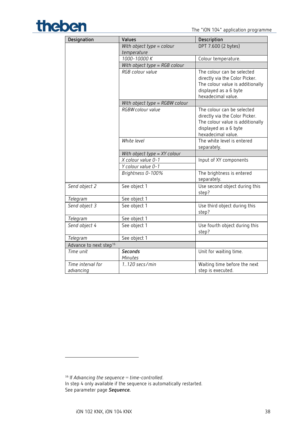# The "iON 104" application programme

| Designation                        | Values                                   | Description                                                                                                                                     |
|------------------------------------|------------------------------------------|-------------------------------------------------------------------------------------------------------------------------------------------------|
|                                    | With object type = colour<br>temperature | DPT 7.600 (2 bytes)                                                                                                                             |
|                                    | 1000-10000 K                             | Colour temperature.                                                                                                                             |
|                                    | With object type = RGB colour            |                                                                                                                                                 |
|                                    | RGB colour value                         | The colour can be selected<br>directly via the Color Picker.<br>The colour value is additionally<br>displayed as a 6 byte<br>hexadecimal value. |
|                                    | With object type = RGBW colour           |                                                                                                                                                 |
|                                    | RGBW colour value                        | The colour can be selected<br>directly via the Color Picker.<br>The colour value is additionally<br>displayed as a 6 byte<br>hexadecimal value. |
| White level                        |                                          | The white level is entered<br>separately.                                                                                                       |
|                                    | With object type $= XY$ colour           |                                                                                                                                                 |
|                                    | X colour value 0-1                       | Input of XY components                                                                                                                          |
|                                    | Y colour value 0-1                       |                                                                                                                                                 |
|                                    | Brightness 0-100%                        | The brightness is entered<br>separately.                                                                                                        |
| Send object 2                      | See object 1                             | Use second object during this<br>step?                                                                                                          |
| Telegram                           | See object 1                             |                                                                                                                                                 |
| Send object 3                      | See object 1                             | Use third object during this<br>step?                                                                                                           |
| Telegram                           | See object 1                             |                                                                                                                                                 |
| Send object 4                      | See object 1                             | Use fourth object during this<br>step?                                                                                                          |
| Telegram                           | See object 1                             |                                                                                                                                                 |
| Advance to next step <sup>16</sup> |                                          |                                                                                                                                                 |
| Time unit                          | <b>Seconds</b><br>Minutes                | Unit for waiting time.                                                                                                                          |
| Time interval for<br>advancing     | 1120 secs/min                            | Waiting time before the next<br>step is executed.                                                                                               |

<span id="page-37-0"></span><sup>16</sup> If *Advancing the sequence* = *time-controlled*. In step 4 only available if the sequence is automatically restarted. See parameter page *Sequence.*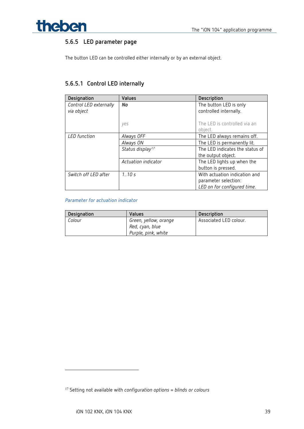

## **5.6.5 LED parameter page**

The button LED can be controlled either internally or by an external object.

## **5.6.5.1 Control LED internally**

| Designation            | Values                       | Description                     |
|------------------------|------------------------------|---------------------------------|
| Control LED externally | No                           | The button LED is only          |
| via object             |                              | controlled internally.          |
|                        |                              |                                 |
|                        | ves                          | The LED is controlled via an    |
|                        |                              | object.                         |
| <b>LED</b> function    | Always OFF                   | The LED always remains off.     |
|                        | Always ON                    | The LED is permanently lit.     |
|                        | Status display <sup>17</sup> | The LED indicates the status of |
|                        |                              | the output object.              |
|                        | Actuation indicator          | The LED lights up when the      |
|                        |                              | button is pressed.              |
| Switch off LED after   | 1.10s                        | With actuation indication and   |
|                        |                              | parameter selection:            |
|                        |                              | LED on for configured time.     |

#### *Parameter for actuation indicator*

| Designation | <b>Values</b>                                                   | Description            |
|-------------|-----------------------------------------------------------------|------------------------|
| Colour      | Green, yellow, orange<br>Red, cyan, blue<br>Purple, pink, white | Associated LED colour. |

<span id="page-38-0"></span><sup>17</sup> Setting not available with *configuration options* = *blinds or colours*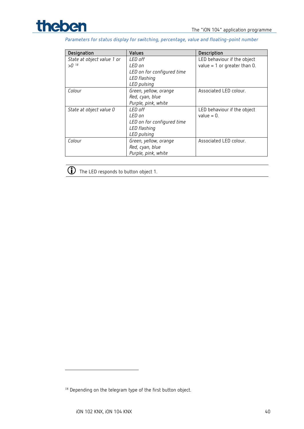

*Parameters for status display for switching, percentage, value and floating-point number*

| Designation                | Values                     | Description                    |
|----------------------------|----------------------------|--------------------------------|
| State at object value 1 or | LED off                    | LED behaviour if the object    |
| $>0^{18}$                  | LED on                     | value = $1$ or greater than 0. |
|                            | LED on for configured time |                                |
|                            | LED flashing               |                                |
|                            | LED pulsing                |                                |
| Colour                     | Green, yellow, orange      | Associated LED colour.         |
|                            | Red, cyan, blue            |                                |
|                            | Purple, pink, white        |                                |
| State at object value 0    | LED off                    | LED behaviour if the object    |
|                            | LED on                     | value $= 0$ .                  |
|                            | LED on for configured time |                                |
|                            | LED flashing               |                                |
|                            | LED pulsing                |                                |
| Colour                     | Green, yellow, orange      | Associated LED colour.         |
|                            | Red, cyan, blue            |                                |
|                            | Purple, pink, white        |                                |



The LED responds to button object 1.

<span id="page-39-0"></span><sup>&</sup>lt;sup>18</sup> Depending on the telegram type of the first button object.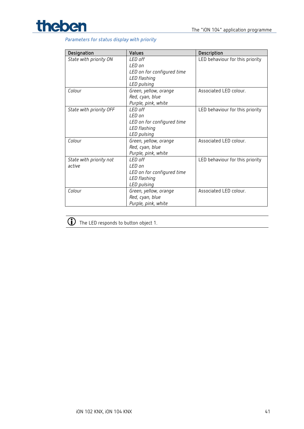

#### *Parameters for status display with priority*

| Designation             | Values                                          | Description                     |  |
|-------------------------|-------------------------------------------------|---------------------------------|--|
| State with priority ON  | I FD off                                        | LED behaviour for this priority |  |
|                         | I FD on                                         |                                 |  |
|                         | LED on for configured time                      |                                 |  |
|                         | LED flashing                                    |                                 |  |
|                         | LED pulsing                                     |                                 |  |
| Colour                  | Green, yellow, orange                           | Associated LED colour.          |  |
|                         | Red, cyan, blue                                 |                                 |  |
|                         | Purple, pink, white                             |                                 |  |
| State with priority OFF | I FD off                                        | LED behaviour for this priority |  |
|                         | I FD on                                         |                                 |  |
|                         | LED on for configured time                      |                                 |  |
|                         | LED flashing                                    |                                 |  |
|                         | LED pulsing                                     |                                 |  |
| Colour                  | Associated LED colour.<br>Green, yellow, orange |                                 |  |
|                         | Red, cyan, blue                                 |                                 |  |
|                         | Purple, pink, white                             |                                 |  |
| State with priority not | LED off                                         | LED behaviour for this priority |  |
| artive                  | I FD on                                         |                                 |  |
|                         | LED on for configured time                      |                                 |  |
|                         | LED flashing                                    |                                 |  |
|                         | LED pulsing                                     |                                 |  |
| Colour                  | Green, yellow, orange                           | Associated LED colour.          |  |
|                         | Red, cyan, blue                                 |                                 |  |
|                         | Purple, pink, white                             |                                 |  |

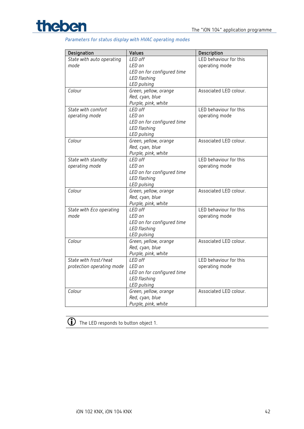

#### *Parameters for status display with HVAC operating modes*

| Designation               | Values                     | Description            |  |
|---------------------------|----------------------------|------------------------|--|
| State with auto operating | LED off                    | LED behaviour for this |  |
| mode                      | LED on                     | operating mode         |  |
|                           | LED on for configured time |                        |  |
|                           | LED flashing               |                        |  |
|                           | LED pulsing                |                        |  |
| Colour                    | Green, yellow, orange      | Associated LED colour. |  |
|                           | Red, cyan, blue            |                        |  |
|                           | Purple, pink, white        |                        |  |
| State with comfort        | LED off                    | LED behaviour for this |  |
| operating mode            | LED on                     | operating mode         |  |
|                           | LED on for configured time |                        |  |
|                           | LED flashing               |                        |  |
|                           | LED pulsing                |                        |  |
| Colour                    | Green, yellow, orange      | Associated LED colour. |  |
|                           | Red, cyan, blue            |                        |  |
|                           | Purple, pink, white        |                        |  |
| State with standby        | LED off                    | LED behaviour for this |  |
| operating mode            | LED on                     | operating mode         |  |
|                           | LED on for configured time |                        |  |
|                           | LED flashing               |                        |  |
|                           | LED pulsing                |                        |  |
| Colour                    | Green, yellow, orange      | Associated LED colour. |  |
|                           | Red, cyan, blue            |                        |  |
|                           | Purple, pink, white        |                        |  |
| State with Eco operating  | LED off                    | LED behaviour for this |  |
| mode                      | LED on                     | operating mode         |  |
|                           | LED on for configured time |                        |  |
|                           | LED flashing               |                        |  |
|                           | LED pulsing                |                        |  |
| Colour                    | Green, yellow, orange      | Associated LED colour. |  |
|                           | Red, cyan, blue            |                        |  |
|                           | Purple, pink, white        |                        |  |
| State with frost/heat     | LED off                    | LED behaviour for this |  |
| protection operating mode | LED on                     | operating mode         |  |
|                           | LED on for configured time |                        |  |
|                           | LED flashing               |                        |  |
|                           | LED pulsing                |                        |  |
| Colour                    | Green, yellow, orange      | Associated LED colour. |  |
|                           | Red, cyan, blue            |                        |  |
|                           | Purple, pink, white        |                        |  |

The LED responds to button object 1.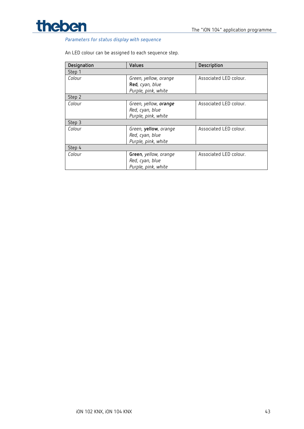



#### *Parameters for status display with sequence*

#### An LED colour can be assigned to each sequence step.

| Designation | Values                                                                 | Description            |
|-------------|------------------------------------------------------------------------|------------------------|
| Step 1      |                                                                        |                        |
| Colour      | Green, yellow, orange<br>Red, cyan, blue<br>Purple, pink, white        | Associated LED colour. |
| Step 2      |                                                                        |                        |
| Colour      | Green, yellow, <b>orange</b><br>Red, cyan, blue<br>Purple, pink, white | Associated LED colour. |
| Step 3      |                                                                        |                        |
| Colour      | Green, yellow, orange<br>Red, cyan, blue<br>Purple, pink, white        | Associated LED colour. |
| Step 4      |                                                                        |                        |
| Colour      | Green, yellow, orange<br>Red, cyan, blue<br>Purple, pink, white        | Associated LED colour. |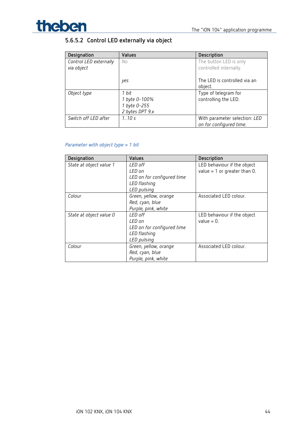

## **5.6.5.2 Control LED externally via object**

| Designation            | Values          | Description                   |
|------------------------|-----------------|-------------------------------|
| Control LED externally | No              | The button LED is only        |
| via object             |                 | controlled internally.        |
|                        |                 |                               |
|                        | yes             | The LED is controlled via an  |
|                        |                 | object.                       |
| Object type            | 1 bit           | Type of telegram for          |
|                        | 1 byte 0-100%   | controlling the LED.          |
|                        | 1 byte 0-255    |                               |
|                        | 2 bytes DPT 9.x |                               |
| Switch off LED after   | 1.10s           | With parameter selection: LED |
|                        |                 | on for configured time.       |

#### *Parameter with object type = 1 bit*

| Designation             | Values                     | Description                    |
|-------------------------|----------------------------|--------------------------------|
| State at object value 1 | LED off                    | LED behaviour if the object    |
|                         | LED on                     | value = $1$ or greater than 0. |
|                         | LED on for configured time |                                |
|                         | LED flashing               |                                |
|                         | LED pulsing                |                                |
| Colour                  | Green, yellow, orange      | Associated LED colour.         |
|                         | Red, cyan, blue            |                                |
|                         | Purple, pink, white        |                                |
| State at object value 0 | LED off                    | LED behaviour if the object    |
|                         | LED on                     | value $= 0$ .                  |
|                         | LED on for configured time |                                |
|                         | LED flashing               |                                |
|                         | LED pulsing                |                                |
| Colour                  | Green, yellow, orange      | Associated LED colour.         |
|                         | Red, cyan, blue            |                                |
|                         | Purple, pink, white        |                                |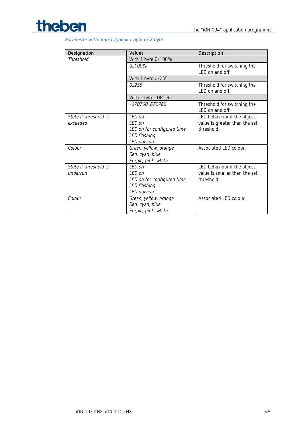

| Parameter with object type = $1$ byte or $2$ byte. |  |  |  |  |
|----------------------------------------------------|--|--|--|--|
|----------------------------------------------------|--|--|--|--|

| Designation                       | <b>Values</b>                                                                   | Description                                                                |  |
|-----------------------------------|---------------------------------------------------------------------------------|----------------------------------------------------------------------------|--|
| Threshold                         | With 1 byte 0-100%                                                              |                                                                            |  |
|                                   | $0.100\%$                                                                       | Threshold for switching the<br>LED on and off.                             |  |
|                                   | With 1 byte 0-255                                                               |                                                                            |  |
|                                   | 0.255                                                                           | Threshold for switching the<br>LED on and off.                             |  |
|                                   | With 2 bytes DPT 9.x                                                            |                                                                            |  |
|                                   | $-670760670760$                                                                 | Threshold for switching the<br>LED on and off.                             |  |
| State if threshold is<br>exceeded | LED off<br>LED on<br>LED on for configured time<br>LED flashing<br>LED pulsing  | LED behaviour if the object<br>value is greater than the set<br>threshold. |  |
| Colour                            | Green, yellow, orange<br>Red, cyan, blue<br>Purple, pink, white                 | Associated LED colour.                                                     |  |
| State if threshold is<br>underrun | LED off<br>I FD on<br>LED on for configured time<br>LED flashing<br>LED pulsing | LED behaviour if the object<br>value is smaller than the set<br>threshold. |  |
| Colour                            | Green, yellow, orange<br>Red, cyan, blue<br>Purple, pink, white                 | Associated LED colour.                                                     |  |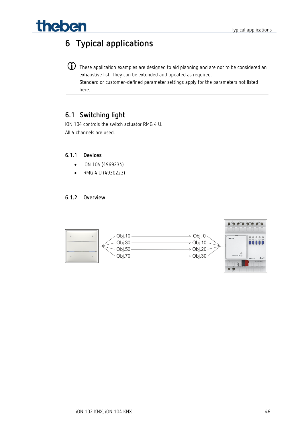# The benaming the set of the set of the set of the set of the set of the set of the set of the set of the set of the set of the set of the set of the set of the set of the set of the set of the set of the set of the set of

## <span id="page-45-0"></span>**6 Typical applications**

 $\bigodot$  These application examples are designed to aid planning and are not to be considered an exhaustive list. They can be extended and updated as required. Standard or customer-defined parameter settings apply for the parameters not listed here.

## <span id="page-45-1"></span>**6.1 Switching light**

iON 104 controls the switch actuator RMG 4 U. All 4 channels are used.

#### **6.1.1 Devices**

- iON 104 (4969234)
- RMG 4 U (4930223)

#### **6.1.2 Overview**

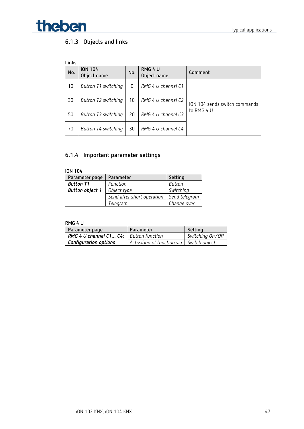

## **6.1.3 Objects and links**

| Links |                     |     |                    |                               |
|-------|---------------------|-----|--------------------|-------------------------------|
| No.   | <b>iON 104</b>      | No. | RMG 4 U            | Comment                       |
|       | Object name         |     | Object name        |                               |
| 10    | Button T1 switching | 0   | RMG 4 U channel C1 |                               |
| 30    | Button T2 switching | 10  | RMG 4 U channel C2 | iON 104 sends switch commands |
| 50    | Button T3 switching | 20  | RMG 4 U channel C3 | to RMG 4 U                    |
| 70    | Button T4 switching | 30  | RMG 4 U channel C4 |                               |

## **6.1.4 Important parameter settings**

| Parameter page         | Parameter                  | Setting       |
|------------------------|----------------------------|---------------|
| <b>Button T1</b>       | Function                   | Button        |
| <b>Button object 1</b> | Object type                | Switching     |
|                        | Send after short operation | Send telegram |
|                        | Telegram                   | Change over   |

#### **RMG 4 U**

| Parameter page                           | Parameter                  | Setting          |
|------------------------------------------|----------------------------|------------------|
| RMG 4 U channel C1 C4:   Button function |                            | Switching On/Off |
| Configuration options                    | Activation of function via | Switch object    |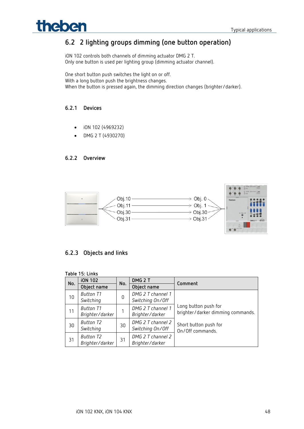## The benefits and the settlement of the settlement of the settlement of the settlement of the settlement of the settlement of the settlement of the settlement of the settlement of the settlement of the settlement of the set

## <span id="page-47-0"></span>**6.2 2 lighting groups dimming (one button operation)**

iON 102 controls both channels of dimming actuator DMG 2 T. Only one button is used per lighting group (dimming actuator channel).

One short button push switches the light on or off. With a long button push the brightness changes. When the button is pressed again, the dimming direction changes (brighter/darker).

#### **6.2.1 Devices**

- iON 102 (4969232)
- DMG 2 T (4930270)

#### **6.2.2 Overview**



### **6.2.3 Objects and links**

| Table 15: Links |                                     |     |                                       |                                                           |  |
|-----------------|-------------------------------------|-----|---------------------------------------|-----------------------------------------------------------|--|
| No.             | <b>iON 102</b>                      | No. | DMG <sub>2</sub> T                    |                                                           |  |
|                 | Object name                         |     | Object name                           | Comment                                                   |  |
| 10              | <b>Button T1</b><br>Switching       | 0   | DMG 2 T channel 1<br>Switching On/Off |                                                           |  |
| 11              | <b>Button T1</b><br>Brighter/darker |     | DMG 2 T channel 1<br>Brighter/darker  | Long button push for<br>brighter/darker dimming commands. |  |
| 30              | Button T2<br>Switching              | 30  | DMG 2 T channel 2<br>Switching On/Off | Short button push for<br>On/Off commands.                 |  |
| 31              | Button T2<br>Brighter/darker        | 31  | DMG 2 T channel 2<br>Brighter/darker  |                                                           |  |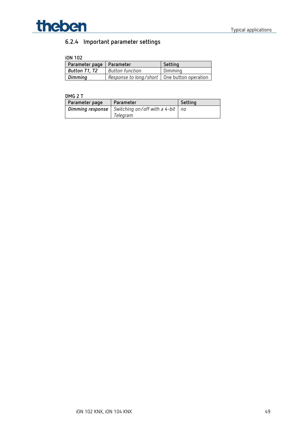

## **6.2.4 Important parameter settings**

#### **iON 102**

| Parameter page   Parameter |                                               | Setting |
|----------------------------|-----------------------------------------------|---------|
| Button T1, T2              | Button function                               | Dimming |
| Dimming                    | Response to long/short   One button operation |         |

#### **DMG 2 T**

| Parameter page   | Parameter                               | Setting |
|------------------|-----------------------------------------|---------|
| Dimming response | Switching on/off with a 4-bit $\mid$ no |         |
|                  | Telearam                                |         |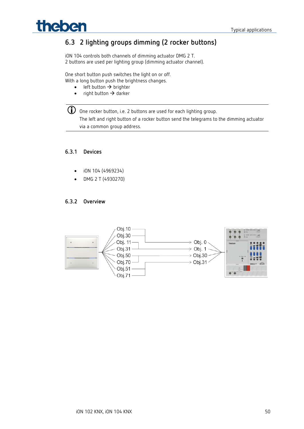## **Theben Typical applications**

## <span id="page-49-0"></span>**6.3 2 lighting groups dimming (2 rocker buttons)**

iON 104 controls both channels of dimming actuator DMG 2 T. 2 buttons are used per lighting group (dimming actuator channel).

One short button push switches the light on or off. With a long button push the brightness changes.

- $\bullet$  left button  $\rightarrow$  brighter
- right button  $\rightarrow$  darker

 One rocker button, i.e. 2 buttons are used for each lighting group. The left and right button of a rocker button send the telegrams to the dimming actuator via a common group address.

#### **6.3.1 Devices**

- iON 104 (4969234)
- DMG 2 T (4930270)

#### **6.3.2 Overview**

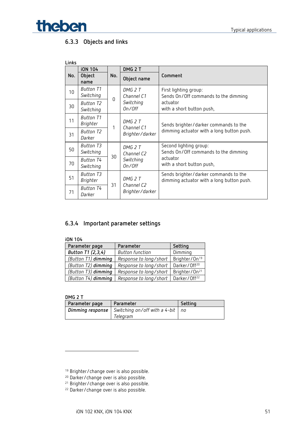

### **6.3.3 Objects and links**

| Links |                                     |     |                                                          |                                                                                    |                                                                |  |
|-------|-------------------------------------|-----|----------------------------------------------------------|------------------------------------------------------------------------------------|----------------------------------------------------------------|--|
|       | <b>iON 104</b>                      |     | DMG <sub>2</sub> T                                       |                                                                                    |                                                                |  |
| No.   | <b>Object</b><br>name               | No. | Object name                                              | Comment                                                                            |                                                                |  |
| 10    | Button T1<br>Switching              |     | DMG 2 T<br>Channel C1<br>$\Omega$<br>Switching<br>On/Off | First lighting group:<br>Sends On/Off commands to the dimming                      |                                                                |  |
| 30    | Button T2<br>Switching              |     |                                                          | actuator<br>with a short button push,                                              |                                                                |  |
| 11    | <b>Button T1</b><br>Brighter        |     | 1                                                        | DMG 2 T<br>Channel C1                                                              | Sends brighter/darker commands to the                          |  |
| 31    | Button T2<br>Darker                 |     | Brighter/darker                                          | dimming actuator with a long button push.                                          |                                                                |  |
| 50    | <b>Button T3</b><br>Switching       | 30  |                                                          | DMG 2 T<br>Channel C <sub>2</sub>                                                  | Second lighting group:<br>Sends On/Off commands to the dimming |  |
| 70    | Button T4<br>Switching              |     |                                                          | Switching<br>On/Off                                                                | actuator<br>with a short button push,                          |  |
| 51    | <b>Button T3</b><br><b>Brighter</b> |     | DMG 2 T<br>Channel C2<br>Brighter/darker                 | Sends brighter/darker commands to the<br>dimming actuator with a long button push. |                                                                |  |
| 71    | <b>Button T4</b><br>Darker          | 31  |                                                          |                                                                                    |                                                                |  |

### **6.3.4 Important parameter settings**

| i0N 104             |                        |                           |  |  |
|---------------------|------------------------|---------------------------|--|--|
| Parameter page      | Parameter              | Setting                   |  |  |
| Button T1 (2,3,4)   | <b>Button function</b> | Dimming                   |  |  |
| (Button T1) dimming | Response to long/short | Brighter/On <sup>19</sup> |  |  |
| (Button T2) dimming | Response to long/short | Darker/Off <sup>20</sup>  |  |  |
| (Button T3) dimming | Response to long/short | Brighter/On <sup>21</sup> |  |  |
| (Button T4) dimming | Response to long/short | Darker/Off <sup>22</sup>  |  |  |

**DMG 2 T**

| Parameter page | Parameter                                                        | Setting |
|----------------|------------------------------------------------------------------|---------|
|                | <b>Dimming response</b> Switching on/off with a 4-bit $\vert$ no |         |
|                | Telearam                                                         |         |

<span id="page-50-0"></span><sup>&</sup>lt;sup>19</sup> Brighter/change over is also possible.

<sup>&</sup>lt;sup>20</sup> Darker/change over is also possible.

<span id="page-50-2"></span><span id="page-50-1"></span><sup>&</sup>lt;sup>21</sup> Brighter/change over is also possible.

<span id="page-50-3"></span><sup>22</sup> Darker/change over is also possible.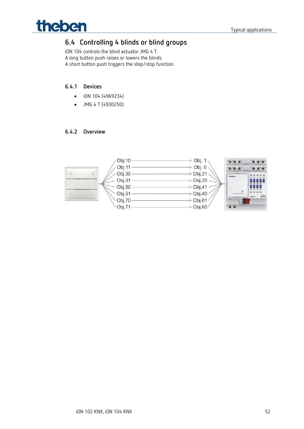

## <span id="page-51-0"></span>**6.4 Controlling 4 blinds or blind groups**

iON 104 controls the blind actuator JMG 4 T. A long button push raises or lowers the blinds. A short button push triggers the step/stop function.

#### **6.4.1 Devices**

- iON 104 (4969234)
- JMG 4 T (4930250)

#### **6.4.2 Overview**